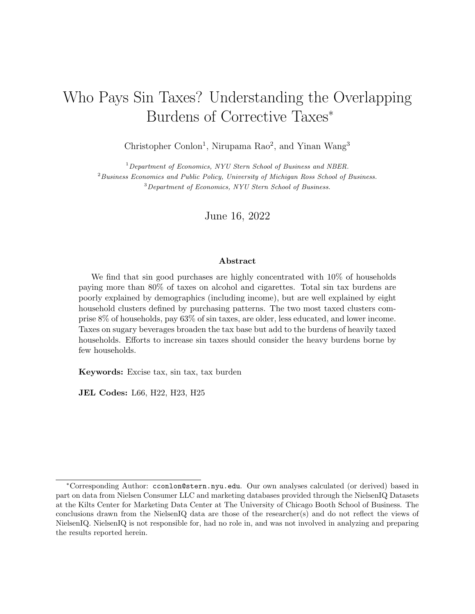# Who Pays Sin Taxes? Understanding the Overlapping Burdens of Corrective Taxes<sup>∗</sup>

Christopher Conlon<sup>1</sup>, Nirupama Rao<sup>2</sup>, and Yinan Wang<sup>3</sup>

 $1$ Department of Economics, NYU Stern School of Business and NBER.  $2$ Business Economics and Public Policy, University of Michigan Ross School of Business. <sup>3</sup>Department of Economics, NYU Stern School of Business.

June 16, 2022

#### Abstract

We find that sin good purchases are highly concentrated with 10% of households paying more than 80% of taxes on alcohol and cigarettes. Total sin tax burdens are poorly explained by demographics (including income), but are well explained by eight household clusters defined by purchasing patterns. The two most taxed clusters comprise 8% of households, pay 63% of sin taxes, are older, less educated, and lower income. Taxes on sugary beverages broaden the tax base but add to the burdens of heavily taxed households. Efforts to increase sin taxes should consider the heavy burdens borne by few households.

Keywords: Excise tax, sin tax, tax burden

JEL Codes: L66, H22, H23, H25

<sup>∗</sup>Corresponding Author: <cconlon@stern.nyu.edu>. Our own analyses calculated (or derived) based in part on data from Nielsen Consumer LLC and marketing databases provided through the NielsenIQ Datasets at the Kilts Center for Marketing Data Center at The University of Chicago Booth School of Business. The conclusions drawn from the NielsenIQ data are those of the researcher(s) and do not reflect the views of NielsenIQ. NielsenIQ is not responsible for, had no role in, and was not involved in analyzing and preparing the results reported herein.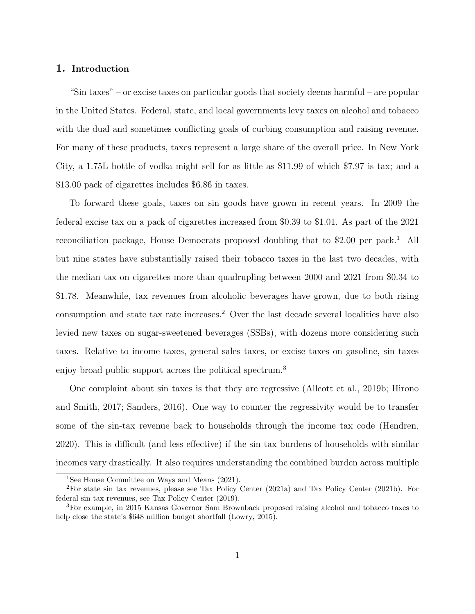#### 1. Introduction

"Sin taxes" – or excise taxes on particular goods that society deems harmful – are popular in the United States. Federal, state, and local governments levy taxes on alcohol and tobacco with the dual and sometimes conflicting goals of curbing consumption and raising revenue. For many of these products, taxes represent a large share of the overall price. In New York City, a 1.75L bottle of vodka might sell for as little as \$11.99 of which \$7.97 is tax; and a \$13.00 pack of cigarettes includes \$6.86 in taxes.

To forward these goals, taxes on sin goods have grown in recent years. In 2009 the federal excise tax on a pack of cigarettes increased from \$0.39 to \$1.01. As part of the 2021 reconciliation package, House Democrats proposed doubling that to  $$2.00$  per pack.<sup>[1](#page-1-0)</sup> All but nine states have substantially raised their tobacco taxes in the last two decades, with the median tax on cigarettes more than quadrupling between 2000 and 2021 from \$0.34 to \$1.78. Meanwhile, tax revenues from alcoholic beverages have grown, due to both rising consumption and state tax rate increases.<sup>[2](#page-1-1)</sup> Over the last decade several localities have also levied new taxes on sugar-sweetened beverages (SSBs), with dozens more considering such taxes. Relative to income taxes, general sales taxes, or excise taxes on gasoline, sin taxes enjoy broad public support across the political spectrum.<sup>[3](#page-1-2)</sup>

One complaint about sin taxes is that they are regressive [\(Allcott et al., 2019b;](#page-23-0) [Hirono](#page-24-0) [and Smith, 2017;](#page-24-0) [Sanders, 2016\)](#page-25-0). One way to counter the regressivity would be to transfer some of the sin-tax revenue back to households through the income tax code [\(Hendren,](#page-24-1) [2020\)](#page-24-1). This is difficult (and less effective) if the sin tax burdens of households with similar incomes vary drastically. It also requires understanding the combined burden across multiple

<span id="page-1-1"></span><span id="page-1-0"></span><sup>&</sup>lt;sup>1</sup>See [House Committee on Ways and Means](#page-24-2) [\(2021\)](#page-24-2).

<sup>2</sup>For state sin tax revenues, please see [Tax Policy Center](#page-25-1) [\(2021a\)](#page-25-1) and [Tax Policy Center](#page-25-2) [\(2021b\)](#page-25-2). For federal sin tax revenues, see [Tax Policy Center](#page-25-3) [\(2019\)](#page-25-3).

<span id="page-1-2"></span><sup>3</sup>For example, in 2015 Kansas Governor Sam Brownback proposed raising alcohol and tobacco taxes to help close the state's \$648 million budget shortfall [\(Lowry, 2015\)](#page-24-3).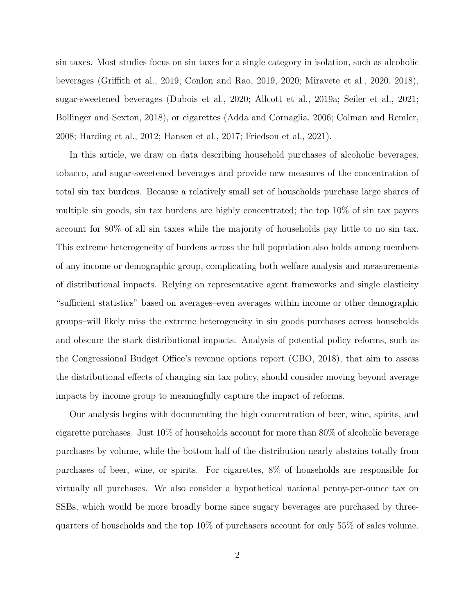sin taxes. Most studies focus on sin taxes for a single category in isolation, such as alcoholic beverages [\(Griffith et al., 2019;](#page-24-4) [Conlon and Rao, 2019,](#page-24-5) [2020;](#page-24-6) [Miravete et al., 2020,](#page-25-4) [2018\)](#page-24-7), sugar-sweetened beverages [\(Dubois et al., 2020;](#page-24-8) [Allcott et al., 2019a;](#page-23-1) [Seiler et al., 2021;](#page-25-5) [Bollinger and Sexton, 2018\)](#page-23-2), or cigarettes [\(Adda and Cornaglia, 2006;](#page-23-3) [Colman and Remler,](#page-23-4) [2008;](#page-23-4) [Harding et al., 2012;](#page-24-9) [Hansen et al., 2017;](#page-24-10) [Friedson et al., 2021\)](#page-24-11).

In this article, we draw on data describing household purchases of alcoholic beverages, tobacco, and sugar-sweetened beverages and provide new measures of the concentration of total sin tax burdens. Because a relatively small set of households purchase large shares of multiple sin goods, sin tax burdens are highly concentrated; the top 10% of sin tax payers account for 80% of all sin taxes while the majority of households pay little to no sin tax. This extreme heterogeneity of burdens across the full population also holds among members of any income or demographic group, complicating both welfare analysis and measurements of distributional impacts. Relying on representative agent frameworks and single elasticity "sufficient statistics" based on averages–even averages within income or other demographic groups–will likely miss the extreme heterogeneity in sin goods purchases across households and obscure the stark distributional impacts. Analysis of potential policy reforms, such as the Congressional Budget Office's revenue options report [\(CBO, 2018\)](#page-23-5), that aim to assess the distributional effects of changing sin tax policy, should consider moving beyond average impacts by income group to meaningfully capture the impact of reforms.

Our analysis begins with documenting the high concentration of beer, wine, spirits, and cigarette purchases. Just 10% of households account for more than 80% of alcoholic beverage purchases by volume, while the bottom half of the distribution nearly abstains totally from purchases of beer, wine, or spirits. For cigarettes, 8% of households are responsible for virtually all purchases. We also consider a hypothetical national penny-per-ounce tax on SSBs, which would be more broadly borne since sugary beverages are purchased by threequarters of households and the top 10% of purchasers account for only 55% of sales volume.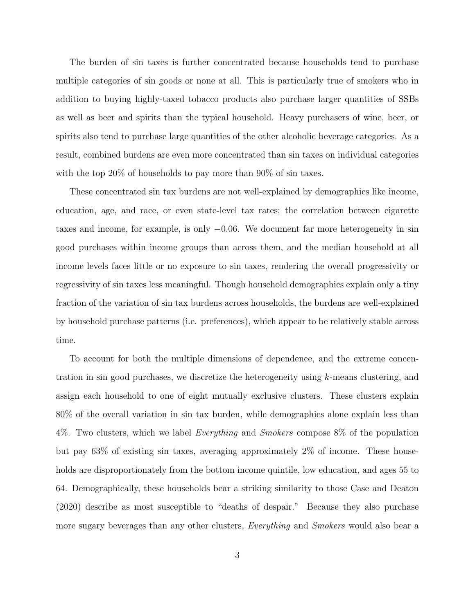The burden of sin taxes is further concentrated because households tend to purchase multiple categories of sin goods or none at all. This is particularly true of smokers who in addition to buying highly-taxed tobacco products also purchase larger quantities of SSBs as well as beer and spirits than the typical household. Heavy purchasers of wine, beer, or spirits also tend to purchase large quantities of the other alcoholic beverage categories. As a result, combined burdens are even more concentrated than sin taxes on individual categories with the top 20% of households to pay more than 90% of sin taxes.

These concentrated sin tax burdens are not well-explained by demographics like income, education, age, and race, or even state-level tax rates; the correlation between cigarette taxes and income, for example, is only −0.06. We document far more heterogeneity in sin good purchases within income groups than across them, and the median household at all income levels faces little or no exposure to sin taxes, rendering the overall progressivity or regressivity of sin taxes less meaningful. Though household demographics explain only a tiny fraction of the variation of sin tax burdens across households, the burdens are well-explained by household purchase patterns (i.e. preferences), which appear to be relatively stable across time.

To account for both the multiple dimensions of dependence, and the extreme concentration in sin good purchases, we discretize the heterogeneity using k-means clustering, and assign each household to one of eight mutually exclusive clusters. These clusters explain 80% of the overall variation in sin tax burden, while demographics alone explain less than  $4\%$ . Two clusters, which we label *Everything* and *Smokers* compose  $8\%$  of the population but pay 63% of existing sin taxes, averaging approximately 2% of income. These households are disproportionately from the bottom income quintile, low education, and ages 55 to 64. Demographically, these households bear a striking similarity to those [Case and Deaton](#page-23-6) [\(2020\)](#page-23-6) describe as most susceptible to "deaths of despair." Because they also purchase more sugary beverages than any other clusters, *Everything* and *Smokers* would also bear a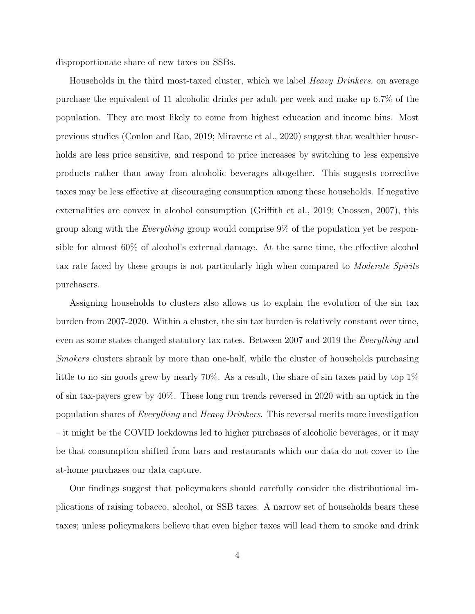disproportionate share of new taxes on SSBs.

Households in the third most-taxed cluster, which we label *Heavy Drinkers*, on average purchase the equivalent of 11 alcoholic drinks per adult per week and make up 6.7% of the population. They are most likely to come from highest education and income bins. Most previous studies [\(Conlon and Rao, 2019;](#page-24-5) [Miravete et al., 2020\)](#page-25-4) suggest that wealthier households are less price sensitive, and respond to price increases by switching to less expensive products rather than away from alcoholic beverages altogether. This suggests corrective taxes may be less effective at discouraging consumption among these households. If negative externalities are convex in alcohol consumption [\(Griffith et al., 2019;](#page-24-4) [Cnossen, 2007\)](#page-23-7), this group along with the Everything group would comprise 9% of the population yet be responsible for almost 60% of alcohol's external damage. At the same time, the effective alcohol tax rate faced by these groups is not particularly high when compared to *Moderate Spirits* purchasers.

Assigning households to clusters also allows us to explain the evolution of the sin tax burden from 2007-2020. Within a cluster, the sin tax burden is relatively constant over time, even as some states changed statutory tax rates. Between 2007 and 2019 the Everything and Smokers clusters shrank by more than one-half, while the cluster of households purchasing little to no sin goods grew by nearly 70%. As a result, the share of sin taxes paid by top 1% of sin tax-payers grew by 40%. These long run trends reversed in 2020 with an uptick in the population shares of Everything and Heavy Drinkers. This reversal merits more investigation – it might be the COVID lockdowns led to higher purchases of alcoholic beverages, or it may be that consumption shifted from bars and restaurants which our data do not cover to the at-home purchases our data capture.

Our findings suggest that policymakers should carefully consider the distributional implications of raising tobacco, alcohol, or SSB taxes. A narrow set of households bears these taxes; unless policymakers believe that even higher taxes will lead them to smoke and drink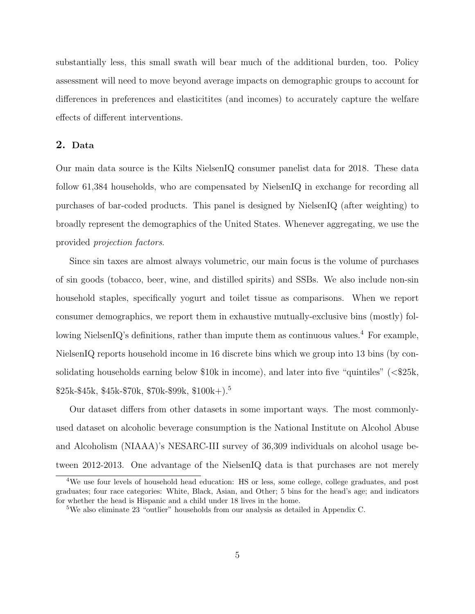substantially less, this small swath will bear much of the additional burden, too. Policy assessment will need to move beyond average impacts on demographic groups to account for differences in preferences and elasticitites (and incomes) to accurately capture the welfare effects of different interventions.

## 2. Data

Our main data source is the Kilts NielsenIQ consumer panelist data for 2018. These data follow 61,384 households, who are compensated by NielsenIQ in exchange for recording all purchases of bar-coded products. This panel is designed by NielsenIQ (after weighting) to broadly represent the demographics of the United States. Whenever aggregating, we use the provided projection factors.

Since sin taxes are almost always volumetric, our main focus is the volume of purchases of sin goods (tobacco, beer, wine, and distilled spirits) and SSBs. We also include non-sin household staples, specifically yogurt and toilet tissue as comparisons. When we report consumer demographics, we report them in exhaustive mutually-exclusive bins (mostly) fol-lowing NielsenIQ's definitions, rather than impute them as continuous values.<sup>[4](#page-5-0)</sup> For example, NielsenIQ reports household income in 16 discrete bins which we group into 13 bins (by consolidating households earning below  $$10k$  in income), and later into five "quintiles" ( $\leq$  $$25k$ ,  $$25k-$45k, $45k-$70k, $70k-$99k, $100k+$  $$25k-$45k, $45k-$70k, $70k-$99k, $100k+$  $$25k-$45k, $45k-$70k, $70k-$99k, $100k+$ .<sup>5</sup>

Our dataset differs from other datasets in some important ways. The most commonlyused dataset on alcoholic beverage consumption is the National Institute on Alcohol Abuse and Alcoholism (NIAAA)'s NESARC-III survey of 36,309 individuals on alcohol usage between 2012-2013. One advantage of the NielsenIQ data is that purchases are not merely

<span id="page-5-0"></span><sup>&</sup>lt;sup>4</sup>We use four levels of household head education: HS or less, some college, college graduates, and post graduates; four race categories: White, Black, Asian, and Other; 5 bins for the head's age; and indicators for whether the head is Hispanic and a child under 18 lives in the home.

<span id="page-5-1"></span><sup>5</sup>We also eliminate 23 "outlier" households from our analysis as detailed in Appendix [C.](#page-34-0)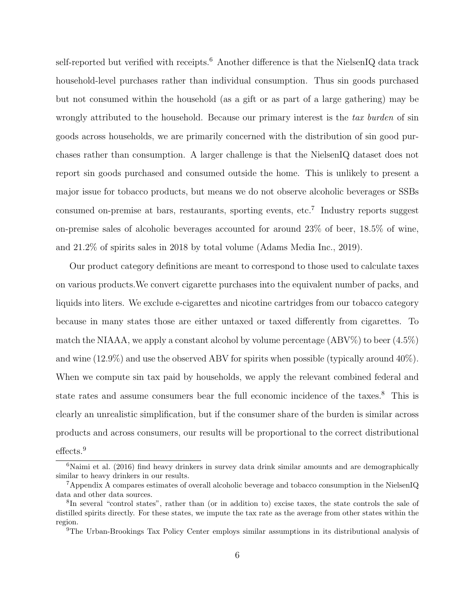self-reported but verified with receipts.<sup>[6](#page-6-0)</sup> Another difference is that the NielsenIQ data track household-level purchases rather than individual consumption. Thus sin goods purchased but not consumed within the household (as a gift or as part of a large gathering) may be wrongly attributed to the household. Because our primary interest is the tax burden of sin goods across households, we are primarily concerned with the distribution of sin good purchases rather than consumption. A larger challenge is that the NielsenIQ dataset does not report sin goods purchased and consumed outside the home. This is unlikely to present a major issue for tobacco products, but means we do not observe alcoholic beverages or SSBs consumed on-premise at bars, restaurants, sporting events, etc.<sup>[7](#page-6-1)</sup> Industry reports suggest on-premise sales of alcoholic beverages accounted for around 23% of beer, 18.5% of wine, and 21.2% of spirits sales in 2018 by total volume [\(Adams Media Inc., 2019\)](#page-23-8).

Our product category definitions are meant to correspond to those used to calculate taxes on various products.We convert cigarette purchases into the equivalent number of packs, and liquids into liters. We exclude e-cigarettes and nicotine cartridges from our tobacco category because in many states those are either untaxed or taxed differently from cigarettes. To match the NIAAA, we apply a constant alcohol by volume percentage  $(ABV\%)$  to beer  $(4.5\%)$ and wine (12.9%) and use the observed ABV for spirits when possible (typically around 40%). When we compute sin tax paid by households, we apply the relevant combined federal and state rates and assume consumers bear the full economic incidence of the taxes.<sup>[8](#page-6-2)</sup> This is clearly an unrealistic simplification, but if the consumer share of the burden is similar across products and across consumers, our results will be proportional to the correct distributional effects.<sup>[9](#page-6-3)</sup>

<span id="page-6-0"></span> $6$ [Naimi et al.](#page-25-6) [\(2016\)](#page-25-6) find heavy drinkers in survey data drink similar amounts and are demographically similar to heavy drinkers in our results.

<span id="page-6-1"></span><sup>7</sup>Appendix [A](#page-26-0) compares estimates of overall alcoholic beverage and tobacco consumption in the NielsenIQ data and other data sources.

<span id="page-6-2"></span><sup>8</sup> In several "control states", rather than (or in addition to) excise taxes, the state controls the sale of distilled spirits directly. For these states, we impute the tax rate as the average from other states within the region.

<span id="page-6-3"></span><sup>9</sup>The Urban-Brookings Tax Policy Center employs similar assumptions in its distributional analysis of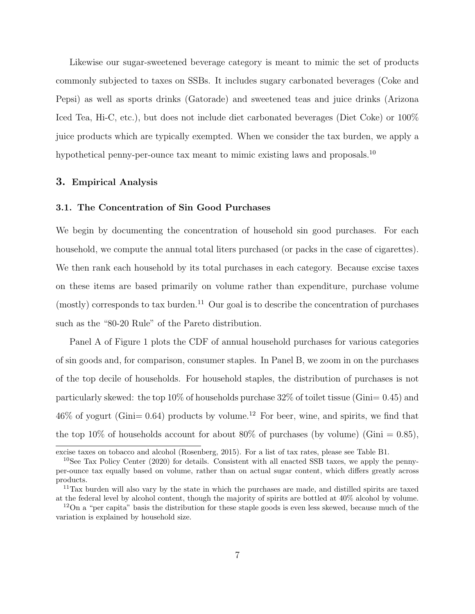Likewise our sugar-sweetened beverage category is meant to mimic the set of products commonly subjected to taxes on SSBs. It includes sugary carbonated beverages (Coke and Pepsi) as well as sports drinks (Gatorade) and sweetened teas and juice drinks (Arizona Iced Tea, Hi-C, etc.), but does not include diet carbonated beverages (Diet Coke) or 100% juice products which are typically exempted. When we consider the tax burden, we apply a hypothetical penny-per-ounce tax meant to mimic existing laws and proposals.<sup>[10](#page-7-0)</sup>

## 3. Empirical Analysis

#### 3.1. The Concentration of Sin Good Purchases

We begin by documenting the concentration of household sin good purchases. For each household, we compute the annual total liters purchased (or packs in the case of cigarettes). We then rank each household by its total purchases in each category. Because excise taxes on these items are based primarily on volume rather than expenditure, purchase volume (mostly) corresponds to tax burden.<sup>[11](#page-7-1)</sup> Our goal is to describe the concentration of purchases such as the "80-20 Rule" of the Pareto distribution.

Panel A of Figure [1](#page-18-0) plots the CDF of annual household purchases for various categories of sin goods and, for comparison, consumer staples. In Panel B, we zoom in on the purchases of the top decile of households. For household staples, the distribution of purchases is not particularly skewed: the top  $10\%$  of households purchase  $32\%$  of toilet tissue (Gini= 0.45) and  $46\%$  of yogurt (Gini= 0.64) products by volume.<sup>[12](#page-7-2)</sup> For beer, wine, and spirits, we find that the top 10% of households account for about 80% of purchases (by volume) (Gini = 0.85),

excise taxes on tobacco and alcohol [\(Rosenberg, 2015\)](#page-25-7). For a list of tax rates, please see Table [B1.](#page-32-0)

<span id="page-7-0"></span><sup>&</sup>lt;sup>10</sup>See [Tax Policy Center](#page-25-8) [\(2020\)](#page-25-8) for details. Consistent with all enacted SSB taxes, we apply the pennyper-ounce tax equally based on volume, rather than on actual sugar content, which differs greatly across products.

<span id="page-7-1"></span><sup>11</sup>Tax burden will also vary by the state in which the purchases are made, and distilled spirits are taxed at the federal level by alcohol content, though the majority of spirits are bottled at 40% alcohol by volume.

<span id="page-7-2"></span><sup>&</sup>lt;sup>12</sup>On a "per capita" basis the distribution for these staple goods is even less skewed, because much of the variation is explained by household size.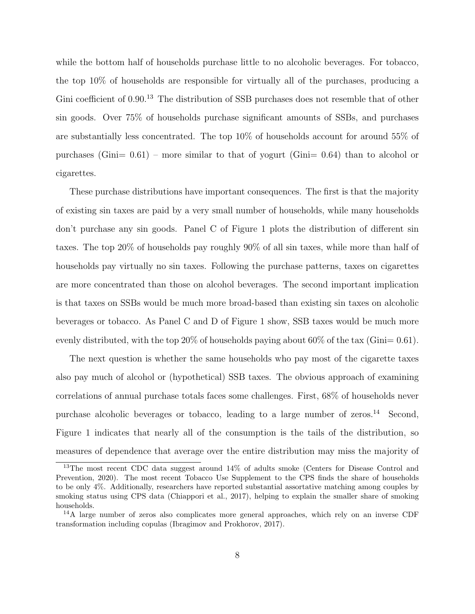while the bottom half of households purchase little to no alcoholic beverages. For tobacco, the top 10% of households are responsible for virtually all of the purchases, producing a Gini coefficient of 0.90.<sup>[13](#page-8-0)</sup> The distribution of SSB purchases does not resemble that of other sin goods. Over 75% of households purchase significant amounts of SSBs, and purchases are substantially less concentrated. The top 10% of households account for around 55% of purchases  $(Gini= 0.61)$  – more similar to that of yogurt  $(Gini= 0.64)$  than to alcohol or cigarettes.

These purchase distributions have important consequences. The first is that the majority of existing sin taxes are paid by a very small number of households, while many households don't purchase any sin goods. Panel C of Figure [1](#page-18-0) plots the distribution of different sin taxes. The top 20% of households pay roughly 90% of all sin taxes, while more than half of households pay virtually no sin taxes. Following the purchase patterns, taxes on cigarettes are more concentrated than those on alcohol beverages. The second important implication is that taxes on SSBs would be much more broad-based than existing sin taxes on alcoholic beverages or tobacco. As Panel C and D of Figure [1](#page-18-0) show, SSB taxes would be much more evenly distributed, with the top  $20\%$  of households paying about  $60\%$  of the tax (Gini= 0.61).

The next question is whether the same households who pay most of the cigarette taxes also pay much of alcohol or (hypothetical) SSB taxes. The obvious approach of examining correlations of annual purchase totals faces some challenges. First, 68% of households never purchase alcoholic beverages or tobacco, leading to a large number of zeros.[14](#page-8-1) Second, Figure [1](#page-18-0) indicates that nearly all of the consumption is the tails of the distribution, so measures of dependence that average over the entire distribution may miss the majority of

<span id="page-8-0"></span><sup>&</sup>lt;sup>13</sup>The most recent CDC data suggest around 14% of adults smoke [\(Centers for Disease Control and](#page-23-9) [Prevention, 2020\)](#page-23-9). The most recent Tobacco Use Supplement to the CPS finds the share of households to be only 4%. Additionally, researchers have reported substantial assortative matching among couples by smoking status using CPS data [\(Chiappori et al., 2017\)](#page-23-10), helping to explain the smaller share of smoking households.

<span id="page-8-1"></span><sup>14</sup>A large number of zeros also complicates more general approaches, which rely on an inverse CDF transformation including copulas [\(Ibragimov and Prokhorov, 2017\)](#page-24-12).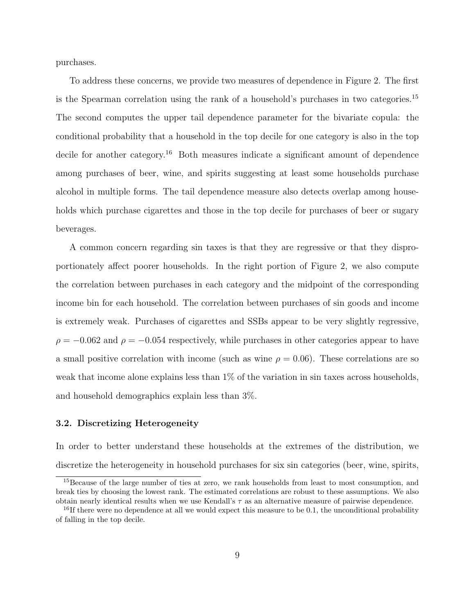purchases.

To address these concerns, we provide two measures of dependence in Figure [2.](#page-19-0) The first is the Spearman correlation using the rank of a household's purchases in two categories.[15](#page-9-0) The second computes the upper tail dependence parameter for the bivariate copula: the conditional probability that a household in the top decile for one category is also in the top decile for another category.<sup>[16](#page-9-1)</sup> Both measures indicate a significant amount of dependence among purchases of beer, wine, and spirits suggesting at least some households purchase alcohol in multiple forms. The tail dependence measure also detects overlap among households which purchase cigarettes and those in the top decile for purchases of beer or sugary beverages.

A common concern regarding sin taxes is that they are regressive or that they disproportionately affect poorer households. In the right portion of Figure [2,](#page-19-0) we also compute the correlation between purchases in each category and the midpoint of the corresponding income bin for each household. The correlation between purchases of sin goods and income is extremely weak. Purchases of cigarettes and SSBs appear to be very slightly regressive,  $\rho = -0.062$  and  $\rho = -0.054$  respectively, while purchases in other categories appear to have a small positive correlation with income (such as wine  $\rho = 0.06$ ). These correlations are so weak that income alone explains less than 1% of the variation in sin taxes across households, and household demographics explain less than 3%.

#### 3.2. Discretizing Heterogeneity

In order to better understand these households at the extremes of the distribution, we discretize the heterogeneity in household purchases for six sin categories (beer, wine, spirits,

<span id="page-9-0"></span><sup>&</sup>lt;sup>15</sup>Because of the large number of ties at zero, we rank households from least to most consumption, and break ties by choosing the lowest rank. The estimated correlations are robust to these assumptions. We also obtain nearly identical results when we use Kendall's  $\tau$  as an alternative measure of pairwise dependence.

<span id="page-9-1"></span> $^{16}$ If there were no dependence at all we would expect this measure to be 0.1, the unconditional probability of falling in the top decile.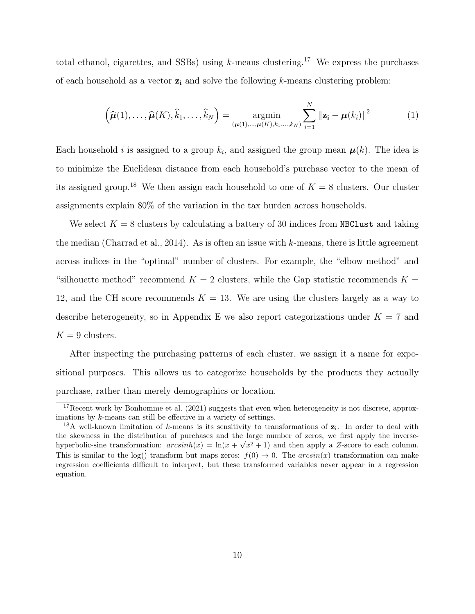total ethanol, cigarettes, and SSBs) using  $k$ -means clustering.<sup>[17](#page-10-0)</sup> We express the purchases of each household as a vector  $z_i$  and solve the following k-means clustering problem:

<span id="page-10-2"></span>
$$
\left(\widehat{\boldsymbol{\mu}}(1),\ldots,\widehat{\boldsymbol{\mu}}(K),\widehat{k}_1,\ldots,\widehat{k}_N\right) = \underset{(\boldsymbol{\mu}(1),\ldots,\boldsymbol{\mu}(K),k_1,\ldots,k_N)}{\operatorname{argmin}} \sum_{i=1}^N \|\mathbf{z_i} - \boldsymbol{\mu}(k_i)\|^2
$$
\n(1)

Each household *i* is assigned to a group  $k_i$ , and assigned the group mean  $\mu(k)$ . The idea is to minimize the Euclidean distance from each household's purchase vector to the mean of its assigned group.<sup>[18](#page-10-1)</sup> We then assign each household to one of  $K = 8$  clusters. Our cluster assignments explain 80% of the variation in the tax burden across households.

We select  $K = 8$  clusters by calculating a battery of 30 indices from NBClust and taking the median [\(Charrad et al., 2014\)](#page-23-11). As is often an issue with  $k$ -means, there is little agreement across indices in the "optimal" number of clusters. For example, the "elbow method" and "silhouette method" recommend  $K = 2$  clusters, while the Gap statistic recommends  $K =$ 12, and the CH score recommends  $K = 13$ . We are using the clusters largely as a way to describe heterogeneity, so in Appendix [E](#page-42-0) we also report categorizations under  $K = 7$  and  $K = 9$  clusters.

After inspecting the purchasing patterns of each cluster, we assign it a name for expositional purposes. This allows us to categorize households by the products they actually purchase, rather than merely demographics or location.

<span id="page-10-0"></span><sup>&</sup>lt;sup>17</sup>Recent work by [Bonhomme et al.](#page-23-12) [\(2021\)](#page-23-12) suggests that even when heterogeneity is not discrete, approximations by k-means can still be effective in a variety of settings.

<span id="page-10-1"></span><sup>&</sup>lt;sup>18</sup>A well-known limitation of k-means is its sensitivity to transformations of  $z_i$ . In order to deal with the skewness in the distribution of purchases and the large number of zeros, we first apply the inversehyperbolic-sine transformation:  $arcsinh(x) = \ln(x + \sqrt{x^2 + 1})$  and then apply a Z-score to each column. This is similar to the log() transform but maps zeros:  $f(0) \to 0$ . The  $arcsin(x)$  transformation can make regression coefficients difficult to interpret, but these transformed variables never appear in a regression equation.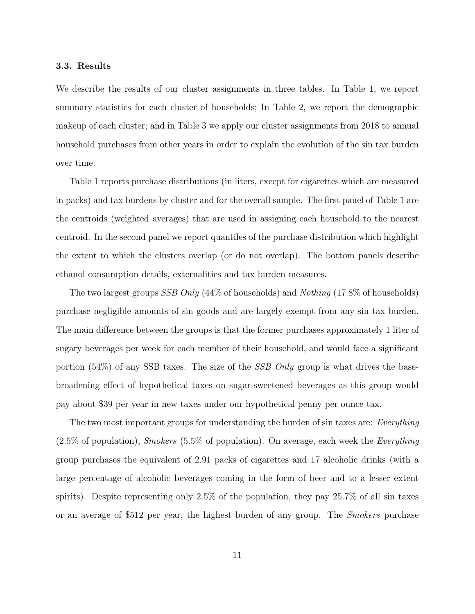#### 3.3. Results

We describe the results of our cluster assignments in three tables. In Table [1,](#page-20-0) we report summary statistics for each cluster of households; In Table [2,](#page-21-0) we report the demographic makeup of each cluster; and in Table [3](#page-22-0) we apply our cluster assignments from 2018 to annual household purchases from other years in order to explain the evolution of the sin tax burden over time.

Table [1](#page-20-0) reports purchase distributions (in liters, except for cigarettes which are measured in packs) and tax burdens by cluster and for the overall sample. The first panel of Table [1](#page-20-0) are the centroids (weighted averages) that are used in assigning each household to the nearest centroid. In the second panel we report quantiles of the purchase distribution which highlight the extent to which the clusters overlap (or do not overlap). The bottom panels describe ethanol consumption details, externalities and tax burden measures.

The two largest groups *SSB Only* (44% of households) and *Nothing* (17.8% of households) purchase negligible amounts of sin goods and are largely exempt from any sin tax burden. The main difference between the groups is that the former purchases approximately 1 liter of sugary beverages per week for each member of their household, and would face a significant portion  $(54%)$  of any SSB taxes. The size of the *SSB Only* group is what drives the basebroadening effect of hypothetical taxes on sugar-sweetened beverages as this group would pay about \$39 per year in new taxes under our hypothetical penny per ounce tax.

The two most important groups for understanding the burden of sin taxes are: Everything  $(2.5\%$  of population), *Smokers* (5.5% of population). On average, each week the *Everything* group purchases the equivalent of 2.91 packs of cigarettes and 17 alcoholic drinks (with a large percentage of alcoholic beverages coming in the form of beer and to a lesser extent spirits). Despite representing only 2.5% of the population, they pay 25.7% of all sin taxes or an average of \$512 per year, the highest burden of any group. The Smokers purchase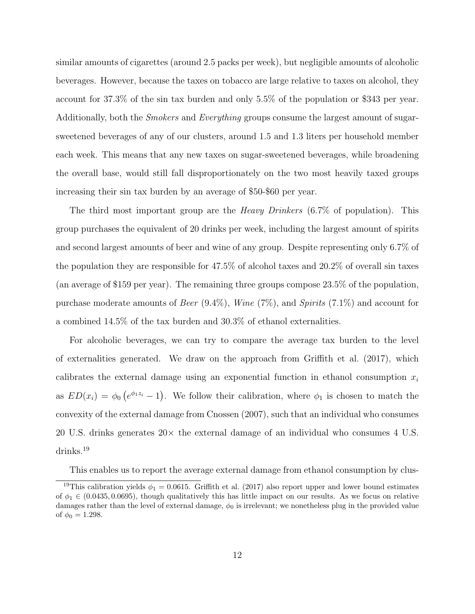similar amounts of cigarettes (around 2.5 packs per week), but negligible amounts of alcoholic beverages. However, because the taxes on tobacco are large relative to taxes on alcohol, they account for 37.3% of the sin tax burden and only 5.5% of the population or \$343 per year. Additionally, both the *Smokers* and *Everything* groups consume the largest amount of sugarsweetened beverages of any of our clusters, around 1.5 and 1.3 liters per household member each week. This means that any new taxes on sugar-sweetened beverages, while broadening the overall base, would still fall disproportionately on the two most heavily taxed groups increasing their sin tax burden by an average of \$50-\$60 per year.

The third most important group are the *Heavy Drinkers*  $(6.7\%$  of population). This group purchases the equivalent of 20 drinks per week, including the largest amount of spirits and second largest amounts of beer and wine of any group. Despite representing only 6.7% of the population they are responsible for 47.5% of alcohol taxes and 20.2% of overall sin taxes (an average of \$159 per year). The remaining three groups compose 23.5% of the population, purchase moderate amounts of Beer  $(9.4\%)$ , Wine  $(7\%)$ , and Spirits  $(7.1\%)$  and account for a combined 14.5% of the tax burden and 30.3% of ethanol externalities.

For alcoholic beverages, we can try to compare the average tax burden to the level of externalities generated. We draw on the approach from [Griffith et al.](#page-24-13) [\(2017\)](#page-24-13), which calibrates the external damage using an exponential function in ethanol consumption  $x_i$ as  $ED(x_i) = \phi_0 (e^{\phi_1 z_i} - 1)$ . We follow their calibration, where  $\phi_1$  is chosen to match the convexity of the external damage from [Cnossen](#page-23-7) [\(2007\)](#page-23-7), such that an individual who consumes 20 U.S. drinks generates  $20 \times$  the external damage of an individual who consumes 4 U.S. drinks.[19](#page-12-0)

<span id="page-12-0"></span>This enables us to report the average external damage from ethanol consumption by clus-

<sup>&</sup>lt;sup>19</sup>This calibration yields  $\phi_1 = 0.0615$ . [Griffith et al.](#page-24-13) [\(2017\)](#page-24-13) also report upper and lower bound estimates of  $\phi_1 \in (0.0435, 0.0695)$ , though qualitatively this has little impact on our results. As we focus on relative damages rather than the level of external damage,  $\phi_0$  is irrelevant; we nonetheless plug in the provided value of  $\phi_0 = 1.298$ .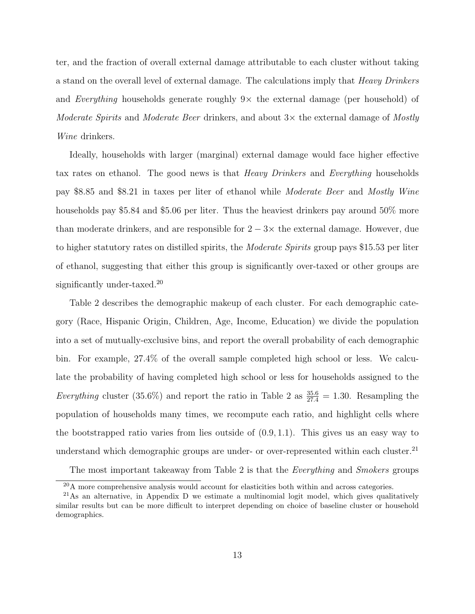ter, and the fraction of overall external damage attributable to each cluster without taking a stand on the overall level of external damage. The calculations imply that Heavy Drinkers and Everything households generate roughly  $9\times$  the external damage (per household) of Moderate Spirits and Moderate Beer drinkers, and about  $3\times$  the external damage of Mostly Wine drinkers.

Ideally, households with larger (marginal) external damage would face higher effective tax rates on ethanol. The good news is that Heavy Drinkers and Everything households pay \$8.85 and \$8.21 in taxes per liter of ethanol while Moderate Beer and Mostly Wine households pay \$5.84 and \$5.06 per liter. Thus the heaviest drinkers pay around 50% more than moderate drinkers, and are responsible for  $2 - 3 \times$  the external damage. However, due to higher statutory rates on distilled spirits, the Moderate Spirits group pays \$15.53 per liter of ethanol, suggesting that either this group is significantly over-taxed or other groups are significantly under-taxed.<sup>[20](#page-13-0)</sup>

Table [2](#page-21-0) describes the demographic makeup of each cluster. For each demographic category (Race, Hispanic Origin, Children, Age, Income, Education) we divide the population into a set of mutually-exclusive bins, and report the overall probability of each demographic bin. For example, 27.4% of the overall sample completed high school or less. We calculate the probability of having completed high school or less for households assigned to the Everything cluster (35.6%) and report the ratio in Table [2](#page-21-0) as  $\frac{35.6}{27.4} = 1.30$ . Resampling the population of households many times, we recompute each ratio, and highlight cells where the bootstrapped ratio varies from lies outside of  $(0.9, 1.1)$ . This gives us an easy way to understand which demographic groups are under- or over-represented within each cluster.<sup>[21](#page-13-1)</sup>

The most important takeaway from Table [2](#page-21-0) is that the *Everything* and *Smokers* groups

<span id="page-13-1"></span><span id="page-13-0"></span> $^{20}$ A more comprehensive analysis would account for elasticities both within and across categories.

 $^{21}$ As an alternative, in Appendix [D](#page-34-1) we estimate a multinomial logit model, which gives qualitatively similar results but can be more difficult to interpret depending on choice of baseline cluster or household demographics.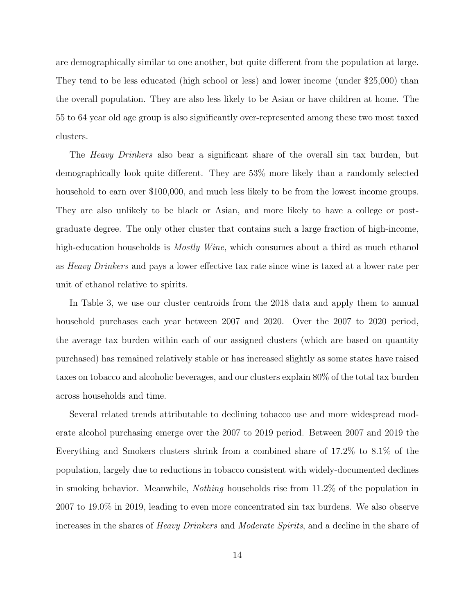are demographically similar to one another, but quite different from the population at large. They tend to be less educated (high school or less) and lower income (under \$25,000) than the overall population. They are also less likely to be Asian or have children at home. The 55 to 64 year old age group is also significantly over-represented among these two most taxed clusters.

The *Heavy Drinkers* also bear a significant share of the overall sin tax burden, but demographically look quite different. They are 53% more likely than a randomly selected household to earn over \$100,000, and much less likely to be from the lowest income groups. They are also unlikely to be black or Asian, and more likely to have a college or postgraduate degree. The only other cluster that contains such a large fraction of high-income, high-education households is *Mostly Wine*, which consumes about a third as much ethanol as Heavy Drinkers and pays a lower effective tax rate since wine is taxed at a lower rate per unit of ethanol relative to spirits.

In Table [3,](#page-22-0) we use our cluster centroids from the 2018 data and apply them to annual household purchases each year between 2007 and 2020. Over the 2007 to 2020 period, the average tax burden within each of our assigned clusters (which are based on quantity purchased) has remained relatively stable or has increased slightly as some states have raised taxes on tobacco and alcoholic beverages, and our clusters explain 80% of the total tax burden across households and time.

Several related trends attributable to declining tobacco use and more widespread moderate alcohol purchasing emerge over the 2007 to 2019 period. Between 2007 and 2019 the Everything and Smokers clusters shrink from a combined share of 17.2% to 8.1% of the population, largely due to reductions in tobacco consistent with widely-documented declines in smoking behavior. Meanwhile, Nothing households rise from 11.2% of the population in 2007 to 19.0% in 2019, leading to even more concentrated sin tax burdens. We also observe increases in the shares of Heavy Drinkers and Moderate Spirits, and a decline in the share of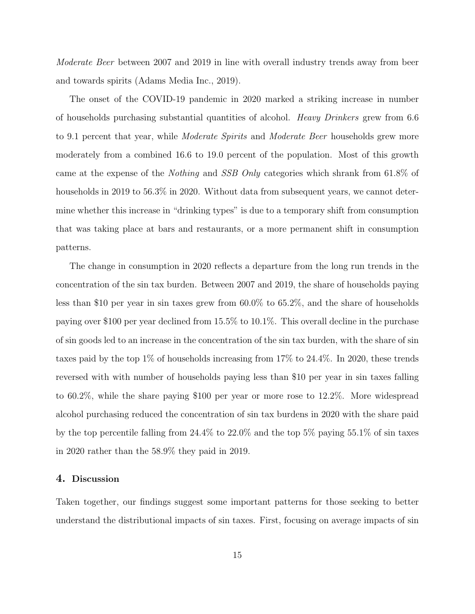Moderate Beer between 2007 and 2019 in line with overall industry trends away from beer and towards spirits [\(Adams Media Inc., 2019\)](#page-23-8).

The onset of the COVID-19 pandemic in 2020 marked a striking increase in number of households purchasing substantial quantities of alcohol. Heavy Drinkers grew from 6.6 to 9.1 percent that year, while *Moderate Spirits* and *Moderate Beer* households grew more moderately from a combined 16.6 to 19.0 percent of the population. Most of this growth came at the expense of the Nothing and SSB Only categories which shrank from 61.8% of households in 2019 to 56.3% in 2020. Without data from subsequent years, we cannot determine whether this increase in "drinking types" is due to a temporary shift from consumption that was taking place at bars and restaurants, or a more permanent shift in consumption patterns.

The change in consumption in 2020 reflects a departure from the long run trends in the concentration of the sin tax burden. Between 2007 and 2019, the share of households paying less than \$10 per year in sin taxes grew from 60.0% to 65.2%, and the share of households paying over \$100 per year declined from 15.5% to 10.1%. This overall decline in the purchase of sin goods led to an increase in the concentration of the sin tax burden, with the share of sin taxes paid by the top 1% of households increasing from 17% to 24.4%. In 2020, these trends reversed with with number of households paying less than \$10 per year in sin taxes falling to 60.2%, while the share paying \$100 per year or more rose to 12.2%. More widespread alcohol purchasing reduced the concentration of sin tax burdens in 2020 with the share paid by the top percentile falling from 24.4% to 22.0% and the top 5% paying 55.1% of sin taxes in 2020 rather than the 58.9% they paid in 2019.

#### 4. Discussion

Taken together, our findings suggest some important patterns for those seeking to better understand the distributional impacts of sin taxes. First, focusing on average impacts of sin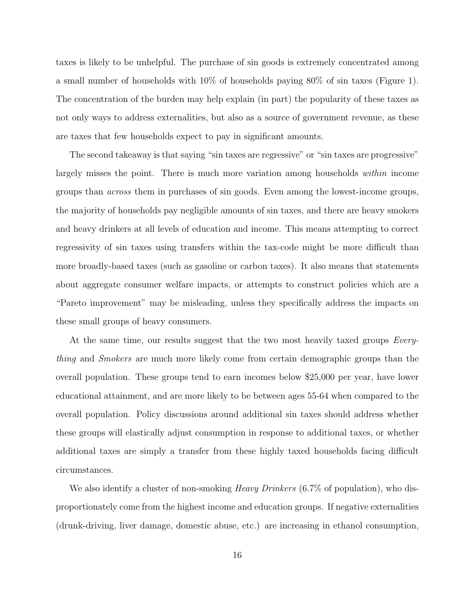taxes is likely to be unhelpful. The purchase of sin goods is extremely concentrated among a small number of households with 10% of households paying 80% of sin taxes (Figure [1\)](#page-18-0). The concentration of the burden may help explain (in part) the popularity of these taxes as not only ways to address externalities, but also as a source of government revenue, as these are taxes that few households expect to pay in significant amounts.

The second takeaway is that saying "sin taxes are regressive" or "sin taxes are progressive" largely misses the point. There is much more variation among households within income groups than across them in purchases of sin goods. Even among the lowest-income groups, the majority of households pay negligible amounts of sin taxes, and there are heavy smokers and heavy drinkers at all levels of education and income. This means attempting to correct regressivity of sin taxes using transfers within the tax-code might be more difficult than more broadly-based taxes (such as gasoline or carbon taxes). It also means that statements about aggregate consumer welfare impacts, or attempts to construct policies which are a "Pareto improvement" may be misleading, unless they specifically address the impacts on these small groups of heavy consumers.

At the same time, our results suggest that the two most heavily taxed groups *Every*thing and Smokers are much more likely come from certain demographic groups than the overall population. These groups tend to earn incomes below \$25,000 per year, have lower educational attainment, and are more likely to be between ages 55-64 when compared to the overall population. Policy discussions around additional sin taxes should address whether these groups will elastically adjust consumption in response to additional taxes, or whether additional taxes are simply a transfer from these highly taxed households facing difficult circumstances.

We also identify a cluster of non-smoking *Heavy Drinkers* (6.7% of population), who disproportionately come from the highest income and education groups. If negative externalities (drunk-driving, liver damage, domestic abuse, etc.) are increasing in ethanol consumption,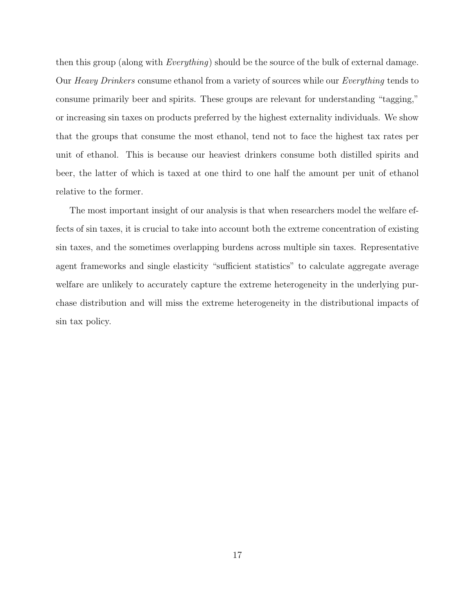then this group (along with *Everything*) should be the source of the bulk of external damage. Our Heavy Drinkers consume ethanol from a variety of sources while our Everything tends to consume primarily beer and spirits. These groups are relevant for understanding "tagging," or increasing sin taxes on products preferred by the highest externality individuals. We show that the groups that consume the most ethanol, tend not to face the highest tax rates per unit of ethanol. This is because our heaviest drinkers consume both distilled spirits and beer, the latter of which is taxed at one third to one half the amount per unit of ethanol relative to the former.

The most important insight of our analysis is that when researchers model the welfare effects of sin taxes, it is crucial to take into account both the extreme concentration of existing sin taxes, and the sometimes overlapping burdens across multiple sin taxes. Representative agent frameworks and single elasticity "sufficient statistics" to calculate aggregate average welfare are unlikely to accurately capture the extreme heterogeneity in the underlying purchase distribution and will miss the extreme heterogeneity in the distributional impacts of sin tax policy.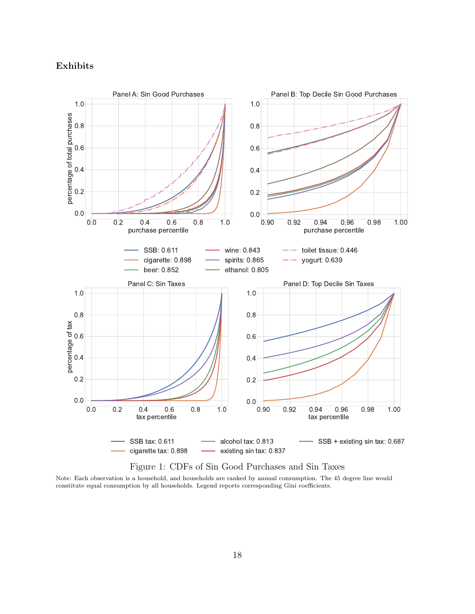## Exhibits

<span id="page-18-0"></span>

Figure 1: CDFs of Sin Good Purchases and Sin Taxes

Note: Each observation is a household, and households are ranked by annual consumption. The 45 degree line would constitute equal consumption by all households. Legend reports corresponding Gini coefficients.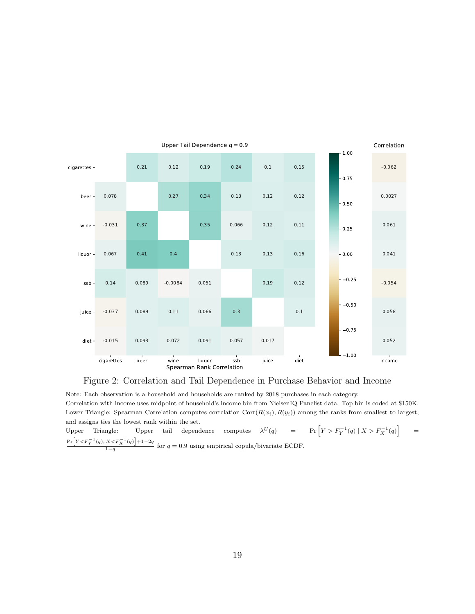<span id="page-19-0"></span>

### Figure 2: Correlation and Tail Dependence in Purchase Behavior and Income

Note: Each observation is a household and households are ranked by 2018 purchases in each category. Correlation with income uses midpoint of household's income bin from NielsenIQ Panelist data. Top bin is coded at \$150K. Lower Triangle: Spearman Correlation computes correlation  $Corr(R(x_i), R(y_i))$  among the ranks from smallest to largest, and assigns ties the lowest rank within the set.

Upper Triangle: Upper tail dependence computes  $\lambda^U(q)$  = Pr  $\left[ Y > F_Y^{-1}(q) \mid X > F_X^{-1}(q) \right]$ =  $Pr[Y < F_Y^{-1}(q), X < F_X^{-1}(q)] + 1 - 2q$  $\frac{1-q}{1-q}$  for  $q=0.9$  using empirical copula/bivariate ECDF.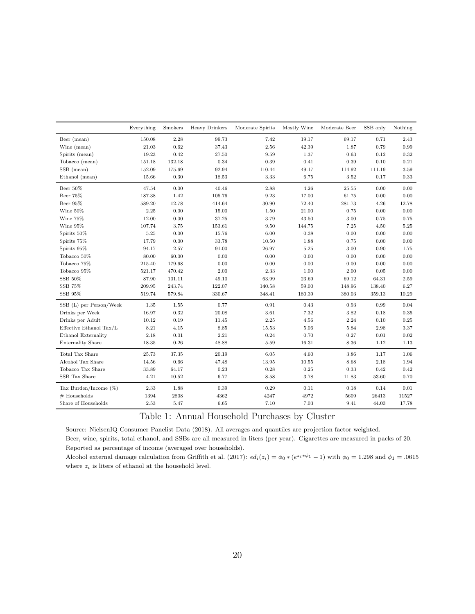<span id="page-20-0"></span>

|                          | Everything | Smokers   | Heavy Drinkers | Moderate Spirits | Mostly Wine | Moderate Beer | SSB only | Nothing    |
|--------------------------|------------|-----------|----------------|------------------|-------------|---------------|----------|------------|
| Beer (mean)              | 150.08     | 2.28      | 99.73          | 7.42             | 19.17       | 69.17         | 0.71     | 2.43       |
| Wine (mean)              | 21.03      | 0.62      | 37.43          | 2.56             | 42.39       | 1.87          | 0.79     | 0.99       |
| Spirits (mean)           | 19.23      | 0.42      | 27.50          | 9.59             | 1.37        | 0.63          | 0.12     | 0.32       |
| Tobacco (mean)           | 151.18     | 132.18    | $\rm 0.34$     | 0.39             | 0.41        | 0.39          | 0.10     | $\rm 0.21$ |
| SSB (mean)               | 152.09     | 175.69    | 92.94          | 110.44           | 49.17       | 114.92        | 111.19   | 3.59       |
| Ethanol (mean)           | 15.66      | 0.30      | 18.53          | 3.33             | 6.75        | 3.52          | 0.17     | 0.33       |
| Beer 50%                 | 47.54      | 0.00      | 40.46          | 2.88             | 4.26        | 25.55         | 0.00     | 0.00       |
| Beer 75%                 | 187.38     | 1.42      | 105.76         | 9.23             | 17.00       | 61.75         | 0.00     | 0.00       |
| Beer 95%                 | 589.20     | 12.78     | 414.64         | 30.90            | 72.40       | 281.73        | 4.26     | 12.78      |
| Wine 50%                 | 2.25       | 0.00      | 15.00          | 1.50             | 21.00       | 0.75          | 0.00     | 0.00       |
| Wine 75%                 | 12.00      | 0.00      | 37.25          | 3.79             | 43.50       | 3.00          | 0.75     | 0.75       |
| Wine 95%                 | 107.74     | 3.75      | 153.61         | 9.50             | 144.75      | 7.25          | 4.50     | 5.25       |
| Spirits 50%              | 5.25       | 0.00      | 15.76          | 6.00             | $0.38\,$    | 0.00          | 0.00     | $0.00\,$   |
| Spirits 75%              | 17.79      | 0.00      | 33.78          | 10.50            | 1.88        | 0.75          | 0.00     | 0.00       |
| Spirits 95%              | 94.17      | 2.57      | 91.00          | 26.97            | $5.25\,$    | 3.00          | 0.90     | 1.75       |
| Tobacco 50%              | 80.00      | 60.00     | 0.00           | 0.00             | 0.00        | 0.00          | 0.00     | 0.00       |
| Tobacco 75%              | 215.40     | 179.68    | 0.00           | 0.00             | 0.00        | 0.00          | 0.00     | 0.00       |
| Tobacco 95%              | 521.17     | 470.42    | 2.00           | 2.33             | 1.00        | 2.00          | 0.05     | 0.00       |
| SSB 50%                  | 87.90      | 101.11    | 49.10          | 63.99            | 23.69       | 69.12         | 64.31    | 2.59       |
| SSB 75%                  | 209.95     | 243.74    | 122.07         | 140.58           | 59.00       | 148.96        | 138.40   | 6.27       |
| SSB 95%                  | 519.74     | 579.84    | 330.67         | 348.41           | 180.39      | 380.03        | 359.13   | 10.29      |
| SSB (L) per Person/Week  | 1.35       | 1.55      | 0.77           | $\rm 0.91$       | 0.43        | 0.93          | 0.99     | 0.04       |
| Drinks per Week          | 16.97      | 0.32      | 20.08          | 3.61             | 7.32        | 3.82          | 0.18     | 0.35       |
| Drinks per Adult         | 10.12      | 0.19      | 11.45          | 2.25             | 4.56        | 2.24          | 0.10     | 0.25       |
| Effective Ethanol Tax/L  | 8.21       | 4.15      | 8.85           | 15.53            | 5.06        | 5.84          | 2.98     | 3.37       |
| Ethanol Externality      | 2.18       | $0.01\,$  | 2.21           | 0.24             | 0.70        | 0.27          | $0.01\,$ | 0.02       |
| <b>Externality Share</b> | 18.35      | 0.26      | 48.88          | 5.59             | 16.31       | 8.36          | 1.12     | 1.13       |
| Total Tax Share          | 25.73      | $37.35\,$ | 20.19          | 6.05             | 4.60        | 3.86          | 1.17     | 1.06       |
| Alcohol Tax Share        | 14.56      | 0.66      | 47.48          | 13.95            | $10.55\,$   | 8.68          | $2.18\,$ | 1.94       |
| Tobacco Tax Share        | 33.89      | 64.17     | 0.23           | 0.28             | 0.25        | 0.33          | 0.42     | 0.42       |
| SSB Tax Share            | 4.21       | 10.52     | 6.77           | 8.58             | 3.78        | 11.83         | 53.60    | 0.70       |
| Tax Burden/Income (%)    | 2.33       | 1.88      | 0.39           | 0.29             | 0.11        | 0.18          | 0.14     | $0.01\,$   |
| $#$ Households           | 1394       | 2808      | 4362           | 4247             | 4972        | 5609          | 26413    | 11527      |
| Share of Households      | 2.53       | $5.47\,$  | 6.65           | 7.10             | $7.03\,$    | 9.41          | 44.03    | 17.78      |

# Table 1: Annual Household Purchases by Cluster

Source: NielsenIQ Consumer Panelist Data (2018). All averages and quantiles are projection factor weighted. Beer, wine, spirits, total ethanol, and SSBs are all measured in liters (per year). Cigarettes are measured in packs of 20. Reported as percentage of income (averaged over households).

Alcohol external damage calculation from [Griffith et al.](#page-24-13) [\(2017\)](#page-24-13):  $ed_i(z_i) = \phi_0 * (e^{z_i * \phi_1} - 1)$  with  $\phi_0 = 1.298$  and  $\phi_1 = .0615$ where  $\boldsymbol{z}_i$  is liters of ethanol at the household level.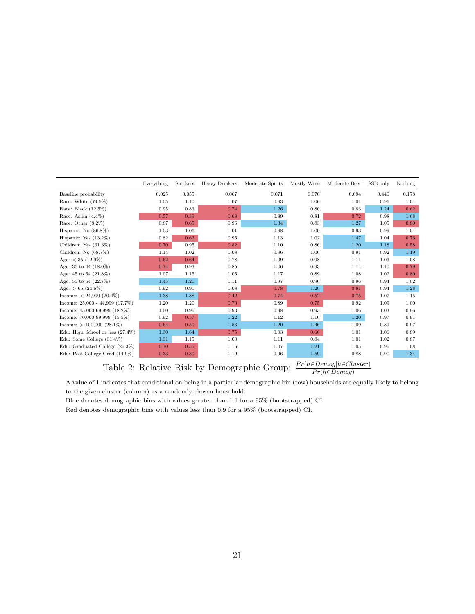<span id="page-21-0"></span>

|                                     | Everything | <b>Smokers</b> | Heavy Drinkers | Moderate Spirits | Mostly Wine | Moderate Beer | SSB only | Nothing |
|-------------------------------------|------------|----------------|----------------|------------------|-------------|---------------|----------|---------|
| Baseline probability                | 0.025      | 0.055          | 0.067          | 0.071            | 0.070       | 0.094         | 0.440    | 0.178   |
| Race: White $(74.9\%)$              | 1.05       | 1.10           | 1.07           | 0.93             | 1.06        | 1.01          | 0.96     | 1.04    |
| Race: Black (12.5%)                 | 0.95       | $\rm 0.83$     | 0.74           | 1.26             | 0.80        | 0.83          | 1.24     | 0.62    |
| Race: Asian $(4.4\%)$               | 0.57       | 0.39           | 0.68           | 0.89             | 0.81        | 0.72          | 0.98     | 1.68    |
| Race: Other $(8.2\%)$               | 0.87       | 0.65           | 0.96           | 1.34             | 0.83        | 1.27          | 1.05     | 0.80    |
| Hispanic: No $(86.8\%)$             | 1.03       | 1.06           | 1.01           | 0.98             | 1.00        | 0.93          | 0.99     | 1.04    |
| Hispanic: Yes $(13.2\%)$            | 0.82       | 0.62           | 0.95           | 1.13             | 1.02        | 1.47          | 1.04     | 0.76    |
| Children: Yes $(31.3\%)$            | 0.70       | 0.95           | 0.82           | 1.10             | 0.86        | 1.20          | 1.18     | 0.58    |
| Children: No (68.7%)                | 1.14       | 1.02           | 1.08           | 0.96             | 1.06        | 0.91          | 0.92     | 1.19    |
| Age: $<$ 35 (12.9%)                 | 0.62       | 0.64           | 0.78           | 1.09             | 0.98        | 1.11          | 1.03     | 1.08    |
| Age: 35 to 44 (18.0%)               | 0.74       | 0.93           | 0.85           | 1.06             | 0.93        | 1.14          | 1.10     | 0.79    |
| Age: 45 to 54 (21.8%)               | 1.07       | 1.15           | 1.05           | 1.17             | 0.89        | 1.08          | 1.02     | 0.80    |
| Age: 55 to 64 (22.7%)               | 1.45       | $1.21\,$       | 1.11           | 0.97             | 0.96        | 0.96          | 0.94     | 1.02    |
| Age: $> 65$ (24.6%)                 | 0.92       | 0.91           | 1.08           | 0.78             | 1.20        | 0.81          | 0.94     | 1.28    |
| Income: $< 24,999$ (20.4%)          | 1.38       | 1.88           | 0.42           | 0.74             | 0.52        | 0.75          | 1.07     | 1.15    |
| Income: $25,000 - 44,999$ (17.7%)   | 1.20       | 1.20           | 0.70           | 0.89             | 0.75        | 0.92          | 1.09     | 1.00    |
| Income: $45,000-69,999$ $(18.2\%)$  | 1.00       | 0.96           | 0.93           | 0.98             | 0.93        | 1.06          | 1.03     | 0.96    |
| Income: $70,000-99,999$ $(15.5\%)$  | 0.92       | 0.57           | 1.22           | 1.12             | 1.16        | 1.20          | 0.97     | 0.91    |
| Income: $> 100,000$ (28.1%)         | 0.64       | 0.50           | 1.53           | 1.20             | 1.46        | 1.09          | 0.89     | 0.97    |
| Edu: High School or less $(27.4\%)$ | 1.30       | 1.64           | 0.75           | 0.83             | 0.66        | 1.01          | 1.06     | 0.89    |
| Edu: Some College $(31.4\%)$        | 1.31       | 1.15           | 1.00           | 1.11             | 0.84        | 1.01          | 1.02     | 0.87    |
| Edu: Graduated College (26.3%)      | 0.70       | 0.55           | 1.15           | 1.07             | 1.21        | 1.05          | 0.96     | 1.08    |
| Edu: Post College Grad (14.9%)      | 0.33       | 0.30           | 1.19           | 0.96             | 1.59        | 0.88          | 0.90     | 1.34    |

Table 2: Relative Risk by Demographic Group:  $\frac{Pr(h \in Demog | h \in Cluster)}{Pr(h \in Demog)}$ 

A value of 1 indicates that conditional on being in a particular demographic bin (row) households are equally likely to belong to the given cluster (column) as a randomly chosen household.

Blue denotes demographic bins with values greater than 1.1 for a 95% (bootstrapped) CI.

Red denotes demographic bins with values less than 0.9 for a 95% (bootstrapped) CI.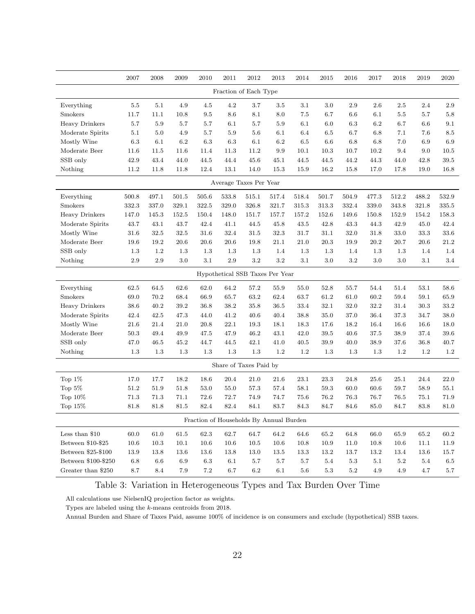<span id="page-22-0"></span>

|                       | 2007     | 2008    | 2009    | 2010     | 2011     | $2012\,$                                | 2013    | 2014    | 2015  | 2016    | 2017     | 2018    | 2019  | 2020     |
|-----------------------|----------|---------|---------|----------|----------|-----------------------------------------|---------|---------|-------|---------|----------|---------|-------|----------|
|                       |          |         |         |          |          | Fraction of Each Type                   |         |         |       |         |          |         |       |          |
| Everything            | 5.5      | 5.1     | 4.9     | $4.5\,$  | $4.2\,$  | 3.7                                     | $3.5\,$ | 3.1     | 3.0   | 2.9     | $2.6\,$  | 2.5     | 2.4   | 2.9      |
| Smokers               | 11.7     | 11.1    | 10.8    | $\,9.5$  | $8.6\,$  | $8.1\,$                                 | $8.0\,$ | $7.5\,$ | 6.7   | 6.6     | 6.1      | $5.5\,$ | 5.7   | $5.8\,$  |
| <b>Heavy Drinkers</b> | 5.7      | 5.9     | 5.7     | 5.7      | 6.1      | 5.7                                     | 5.9     | 6.1     | 6.0   | 6.3     | $6.2\,$  | 6.7     | 6.6   | 9.1      |
| Moderate Spirits      | 5.1      | 5.0     | 4.9     | $5.7\,$  | 5.9      | 5.6                                     | 6.1     | 6.4     | 6.5   | 6.7     | 6.8      | 7.1     | 7.6   | $8.5\,$  |
| Mostly Wine           | 6.3      | 6.1     | 6.2     | 6.3      | 6.3      | 6.1                                     | 6.2     | $6.5\,$ | 6.6   | 6.8     | 6.8      | $7.0\,$ | 6.9   | 6.9      |
| Moderate Beer         | 11.6     | 11.5    | 11.6    | 11.4     | 11.3     | 11.2                                    | 9.9     | 10.1    | 10.3  | 10.7    | 10.2     | 9.4     | 9.0   | 10.5     |
| SSB only              | 42.9     | 43.4    | 44.0    | 44.5     | 44.4     | 45.6                                    | 45.1    | 44.5    | 44.5  | 44.2    | 44.3     | 44.0    | 42.8  | $39.5\,$ |
| Nothing               | 11.2     | 11.8    | 11.8    | 12.4     | 13.1     | 14.0                                    | 15.3    | 15.9    | 16.2  | 15.8    | 17.0     | 17.8    | 19.0  | 16.8     |
|                       |          |         |         |          |          | Average Taxes Per Year                  |         |         |       |         |          |         |       |          |
| Everything            | 500.8    | 497.1   | 501.5   | 505.6    | 533.8    | 515.1                                   | 517.4   | 518.4   | 501.7 | 504.9   | 477.3    | 512.2   | 488.2 | 532.9    |
| Smokers               | 332.3    | 337.0   | 329.1   | 322.5    | 329.0    | 326.8                                   | 321.7   | 315.3   | 313.3 | 332.4   | 339.0    | 343.8   | 321.8 | 335.5    |
| <b>Heavy Drinkers</b> | 147.0    | 145.3   | 152.5   | 150.4    | 148.0    | 151.7                                   | 157.7   | 157.2   | 152.6 | 149.6   | 150.8    | 152.9   | 154.2 | 158.3    |
| Moderate Spirits      | 43.7     | 43.1    | 43.7    | 42.4     | 41.1     | 44.5                                    | 45.8    | 43.5    | 42.8  | 43.3    | 44.3     | 42.9    | 45.0  | 42.4     |
| Mostly Wine           | 31.6     | 32.5    | 32.5    | 31.6     | 32.4     | 31.5                                    | 32.3    | 31.7    | 31.1  | 32.0    | 31.8     | 33.0    | 33.3  | 33.6     |
| Moderate Beer         | 19.6     | 19.2    | 20.6    | $20.6\,$ | $20.6\,$ | 19.8                                    | 21.1    | 21.0    | 20.3  | 19.9    | 20.2     | 20.7    | 20.6  | 21.2     |
| SSB only              | $1.3\,$  | 1.2     | $1.3\,$ | $1.3\,$  | $1.3\,$  | 1.3                                     | 1.4     | 1.3     | 1.3   | 1.4     | 1.3      | $1.3\,$ | 1.4   | 1.4      |
| Nothing               | $2.9\,$  | $2.9\,$ | $3.0\,$ | $3.1\,$  | $2.9\,$  | $3.2\,$                                 | $3.2\,$ | $3.1\,$ | 3.0   | $3.2\,$ | $3.0\,$  | $3.0\,$ | 3.1   | $3.4\,$  |
|                       |          |         |         |          |          | Hypothetical SSB Taxes Per Year         |         |         |       |         |          |         |       |          |
| Everything            | 62.5     | 64.5    | 62.6    | 62.0     | 64.2     | 57.2                                    | 55.9    | 55.0    | 52.8  | 55.7    | 54.4     | 51.4    | 53.1  | 58.6     |
| Smokers               | 69.0     | 70.2    | 68.4    | 66.9     | 65.7     | 63.2                                    | 62.4    | 63.7    | 61.2  | 61.0    | 60.2     | 59.4    | 59.1  | 65.9     |
| <b>Heavy Drinkers</b> | 38.6     | 40.2    | 39.2    | 36.8     | 38.2     | 35.8                                    | 36.5    | 33.4    | 32.1  | 32.0    | $32.2\,$ | 31.4    | 30.3  | 33.2     |
| Moderate Spirits      | 42.4     | 42.5    | 47.3    | 44.0     | 41.2     | 40.6                                    | 40.4    | 38.8    | 35.0  | 37.0    | 36.4     | 37.3    | 34.7  | 38.0     |
| Mostly Wine           | $21.6\,$ | 21.4    | 21.0    | 20.8     | 22.1     | 19.3                                    | 18.1    | 18.3    | 17.6  | 18.2    | 16.4     | 16.6    | 16.6  | 18.0     |
| Moderate Beer         | 50.3     | 49.4    | 49.9    | 47.5     | 47.9     | 46.2                                    | 43.1    | 42.0    | 39.5  | 40.6    | 37.5     | 38.9    | 37.4  | 39.6     |
| SSB only              | 47.0     | 46.5    | 45.2    | 44.7     | 44.5     | 42.1                                    | 41.0    | 40.5    | 39.9  | 40.0    | 38.9     | 37.6    | 36.8  | 40.7     |
| Nothing               | $1.3\,$  | 1.3     | $1.3\,$ | $1.3\,$  | $1.3\,$  | 1.3                                     | 1.2     | $1.2\,$ | 1.3   | 1.3     | 1.3      | 1.2     | 1.2   | $1.2\,$  |
|                       |          |         |         |          |          | Share of Taxes Paid by                  |         |         |       |         |          |         |       |          |
| Top $1\%$             | 17.0     | 17.7    | 18.2    | 18.6     | 20.4     | 21.0                                    | 21.6    | 23.1    | 23.3  | 24.8    | 25.6     | 25.1    | 24.4  | 22.0     |
| Top $5\%$             | $51.2\,$ | 51.9    | 51.8    | 53.0     | 55.0     | 57.3                                    | 57.4    | 58.1    | 59.3  | 60.0    | 60.6     | 59.7    | 58.9  | $55.1\,$ |
| Top $10\%$            | 71.3     | 71.3    | 71.1    | 72.6     | 72.7     | 74.9                                    | 74.7    | 75.6    | 76.2  | 76.3    | 76.7     | 76.5    | 75.1  | 71.9     |
| Top 15%               | 81.8     | 81.8    | 81.5    | 82.4     | 82.4     | 84.1                                    | 83.7    | 84.3    | 84.7  | 84.6    | 85.0     | 84.7    | 83.8  | 81.0     |
|                       |          |         |         |          |          | Fraction of Households By Annual Burden |         |         |       |         |          |         |       |          |
| Less than $\$10$      | 60.0     | 61.0    | 61.5    | 62.3     | 62.7     | 64.7                                    | 64.2    | 64.6    | 65.2  | 64.8    | 66.0     | 65.9    | 65.2  | 60.2     |
| Between \$10-\$25     | 10.6     | 10.3    | 10.1    | 10.6     | 10.6     | $10.5\,$                                | 10.6    | 10.8    | 10.9  | 11.0    | 10.8     | 10.6    | 11.1  | 11.9     |
| Between \$25-\$100    | 13.9     | 13.8    | 13.6    | 13.6     | 13.8     | 13.0                                    | 13.5    | 13.3    | 13.2  | 13.7    | 13.2     | 13.4    | 13.6  | 15.7     |
| Between \$100-\$250   | 6.8      | 6.6     | 6.9     | 6.3      | 6.1      | 5.7                                     | 5.7     | 5.7     | 5.4   | 5.3     | 5.1      | $5.2\,$ | 5.4   | $6.5\,$  |
| Greater than \$250    | 8.7      | 8.4     | 7.9     | $7.2\,$  | 6.7      | $6.2\,$                                 | 6.1     | 5.6     | 5.3   | $5.2\,$ | 4.9      | 4.9     | 4.7   | $5.7\,$  |

# Table 3: Variation in Heterogeneous Types and Tax Burden Over Time

All calculations use NielsenIQ projection factor as weights.

Types are labeled using the k-means centroids from 2018.

Annual Burden and Share of Taxes Paid, assume 100% of incidence is on consumers and exclude (hypothetical) SSB taxes.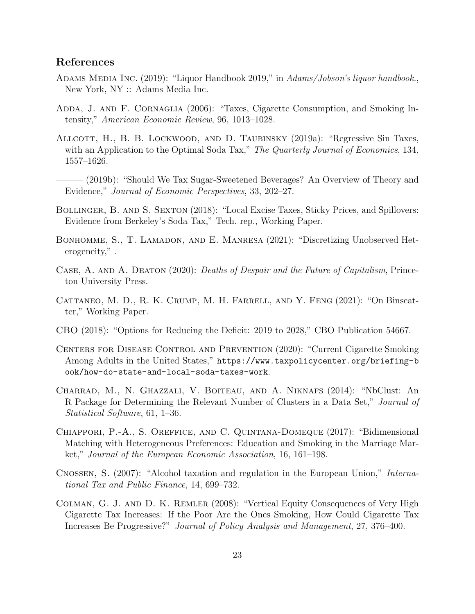## References

- <span id="page-23-8"></span>ADAMS MEDIA INC. (2019): "Liquor Handbook 2019," in Adams/Jobson's liquor handbook., New York, NY :: Adams Media Inc.
- <span id="page-23-3"></span>ADDA, J. AND F. CORNAGLIA (2006): "Taxes, Cigarette Consumption, and Smoking Intensity," American Economic Review, 96, 1013–1028.
- <span id="page-23-1"></span>Allcott, H., B. B. Lockwood, and D. Taubinsky (2019a): "Regressive Sin Taxes, with an Application to the Optimal Soda Tax," The Quarterly Journal of Economics, 134, 1557–1626.
	- ——— (2019b): "Should We Tax Sugar-Sweetened Beverages? An Overview of Theory and Evidence," Journal of Economic Perspectives, 33, 202–27.
- <span id="page-23-2"></span><span id="page-23-0"></span>Bollinger, B. and S. Sexton (2018): "Local Excise Taxes, Sticky Prices, and Spillovers: Evidence from Berkeley's Soda Tax," Tech. rep., Working Paper.
- <span id="page-23-12"></span>Bonhomme, S., T. Lamadon, and E. Manresa (2021): "Discretizing Unobserved Heterogeneity," .
- <span id="page-23-6"></span>CASE, A. AND A. DEATON (2020): Deaths of Despair and the Future of Capitalism, Princeton University Press.
- <span id="page-23-13"></span>CATTANEO, M. D., R. K. CRUMP, M. H. FARRELL, AND Y. FENG (2021): "On Binscatter," Working Paper.
- <span id="page-23-5"></span>CBO (2018): "Options for Reducing the Deficit: 2019 to 2028," CBO Publication 54667.
- <span id="page-23-9"></span>Centers for Disease Control and Prevention (2020): "Current Cigarette Smoking Among Adults in the United States," [https://www.taxpolicycenter.org/briefing-b](https://www.taxpolicycenter.org/briefing-book/how-do-state-and-local-soda-taxes-work) [ook/how-do-state-and-local-soda-taxes-work](https://www.taxpolicycenter.org/briefing-book/how-do-state-and-local-soda-taxes-work).
- <span id="page-23-11"></span>Charrad, M., N. Ghazzali, V. Boiteau, and A. Niknafs (2014): "NbClust: An R Package for Determining the Relevant Number of Clusters in a Data Set," Journal of Statistical Software, 61, 1–36.
- <span id="page-23-10"></span>Chiappori, P.-A., S. Oreffice, and C. Quintana-Domeque (2017): "Bidimensional Matching with Heterogeneous Preferences: Education and Smoking in the Marriage Market," Journal of the European Economic Association, 16, 161–198.
- <span id="page-23-7"></span>Cnossen, S. (2007): "Alcohol taxation and regulation in the European Union," International Tax and Public Finance, 14, 699–732.
- <span id="page-23-4"></span>Colman, G. J. and D. K. Remler (2008): "Vertical Equity Consequences of Very High Cigarette Tax Increases: If the Poor Are the Ones Smoking, How Could Cigarette Tax Increases Be Progressive?" Journal of Policy Analysis and Management, 27, 376–400.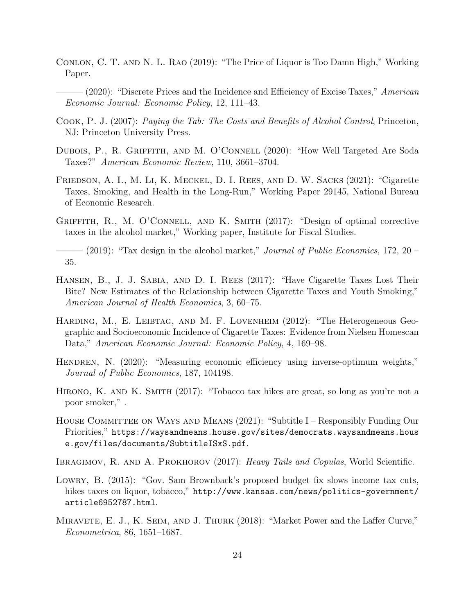- <span id="page-24-5"></span>Conlon, C. T. and N. L. Rao (2019): "The Price of Liquor is Too Damn High," Working Paper.
- <span id="page-24-6"></span> $-$  (2020): "Discrete Prices and the Incidence and Efficiency of Excise Taxes," American Economic Journal: Economic Policy, 12, 111–43.
- <span id="page-24-14"></span>Cook, P. J. (2007): Paying the Tab: The Costs and Benefits of Alcohol Control, Princeton, NJ: Princeton University Press.
- <span id="page-24-8"></span>DUBOIS, P., R. GRIFFITH, AND M. O'CONNELL (2020): "How Well Targeted Are Soda Taxes?" American Economic Review, 110, 3661–3704.
- <span id="page-24-11"></span>Friedson, A. I., M. Li, K. Meckel, D. I. Rees, and D. W. Sacks (2021): "Cigarette Taxes, Smoking, and Health in the Long-Run," Working Paper 29145, National Bureau of Economic Research.
- <span id="page-24-13"></span>Griffith, R., M. O'Connell, and K. Smith (2017): "Design of optimal corrective taxes in the alcohol market," Working paper, Institute for Fiscal Studies.

<span id="page-24-4"></span> $-$  (2019): "Tax design in the alcohol market," *Journal of Public Economics*, 172, 20 – 35.

- <span id="page-24-10"></span>Hansen, B., J. J. Sabia, and D. I. Rees (2017): "Have Cigarette Taxes Lost Their Bite? New Estimates of the Relationship between Cigarette Taxes and Youth Smoking," American Journal of Health Economics, 3, 60–75.
- <span id="page-24-9"></span>HARDING, M., E. LEIBTAG, AND M. F. LOVENHEIM (2012): "The Heterogeneous Geographic and Socioeconomic Incidence of Cigarette Taxes: Evidence from Nielsen Homescan Data," American Economic Journal: Economic Policy, 4, 169–98.
- <span id="page-24-1"></span>HENDREN, N. (2020): "Measuring economic efficiency using inverse-optimum weights," Journal of Public Economics, 187, 104198.
- <span id="page-24-0"></span>HIRONO, K. AND K. SMITH (2017): "Tobacco tax hikes are great, so long as you're not a poor smoker," .
- <span id="page-24-2"></span>HOUSE COMMITTEE ON WAYS AND MEANS (2021): "Subtitle I – Responsibly Funding Our Priorities," [https://waysandmeans.house.gov/sites/democrats.waysandmeans.hous](https://waysandmeans.house.gov/sites/democrats.waysandmeans.house.gov/files/documents/SubtitleISxS.pdf) [e.gov/files/documents/SubtitleISxS.pdf](https://waysandmeans.house.gov/sites/democrats.waysandmeans.house.gov/files/documents/SubtitleISxS.pdf).
- <span id="page-24-12"></span>IBRAGIMOV, R. AND A. PROKHOROV (2017): Heavy Tails and Copulas, World Scientific.
- <span id="page-24-3"></span>Lowry, B. (2015): "Gov. Sam Brownback's proposed budget fix slows income tax cuts, hikes taxes on liquor, tobacco," [http://www.kansas.com/news/politics-government/](http://www.kansas.com/news/politics-government/article6952787.html) [article6952787.html](http://www.kansas.com/news/politics-government/article6952787.html).
- <span id="page-24-7"></span>Miravete, E. J., K. Seim, and J. Thurk (2018): "Market Power and the Laffer Curve," Econometrica, 86, 1651–1687.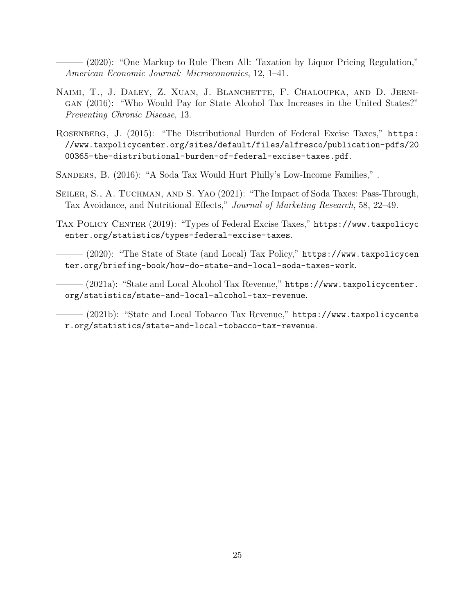<span id="page-25-4"></span>——— (2020): "One Markup to Rule Them All: Taxation by Liquor Pricing Regulation," American Economic Journal: Microeconomics, 12, 1–41.

- <span id="page-25-6"></span>Naimi, T., J. Daley, Z. Xuan, J. Blanchette, F. Chaloupka, and D. Jernigan (2016): "Who Would Pay for State Alcohol Tax Increases in the United States?" Preventing Chronic Disease, 13.
- <span id="page-25-7"></span>Rosenberg, J. (2015): "The Distributional Burden of Federal Excise Taxes," [https:](https://www.taxpolicycenter.org/sites/default/files/alfresco/publication-pdfs/2000365-the-distributional-burden-of-federal-excise-taxes.pdf) [//www.taxpolicycenter.org/sites/default/files/alfresco/publication-pdfs/20](https://www.taxpolicycenter.org/sites/default/files/alfresco/publication-pdfs/2000365-the-distributional-burden-of-federal-excise-taxes.pdf) [00365-the-distributional-burden-of-federal-excise-taxes.pdf](https://www.taxpolicycenter.org/sites/default/files/alfresco/publication-pdfs/2000365-the-distributional-burden-of-federal-excise-taxes.pdf).
- <span id="page-25-0"></span>Sanders, B. (2016): "A Soda Tax Would Hurt Philly's Low-Income Families," .
- <span id="page-25-5"></span>Seiler, S., A. Tuchman, and S. Yao (2021): "The Impact of Soda Taxes: Pass-Through, Tax Avoidance, and Nutritional Effects," Journal of Marketing Research, 58, 22–49.
- <span id="page-25-3"></span>TAX POLICY CENTER (2019): "Types of Federal Excise Taxes," [https://www.taxpolicyc](https://www.taxpolicycenter.org/statistics/types-federal-excise-taxes) [enter.org/statistics/types-federal-excise-taxes](https://www.taxpolicycenter.org/statistics/types-federal-excise-taxes).
- <span id="page-25-8"></span>——— (2020): "The State of State (and Local) Tax Policy," [https://www.taxpolicycen](https://www.taxpolicycenter.org/briefing-book/how-do-state-and-local-soda-taxes-work) [ter.org/briefing-book/how-do-state-and-local-soda-taxes-work](https://www.taxpolicycenter.org/briefing-book/how-do-state-and-local-soda-taxes-work).
- <span id="page-25-1"></span>- (2021a): "State and Local Alcohol Tax Revenue," [https://www.taxpolicycenter.](https://www.taxpolicycenter.org/statistics/state-and-local-alcohol-tax-revenue) [org/statistics/state-and-local-alcohol-tax-revenue](https://www.taxpolicycenter.org/statistics/state-and-local-alcohol-tax-revenue).

<span id="page-25-2"></span> $-$  (2021b): "State and Local Tobacco Tax Revenue," <code>[https://www.taxpolicycente](https://www.taxpolicycenter.org/statistics/state-and-local-tobacco-tax-revenue)</code> [r.org/statistics/state-and-local-tobacco-tax-revenue](https://www.taxpolicycenter.org/statistics/state-and-local-tobacco-tax-revenue).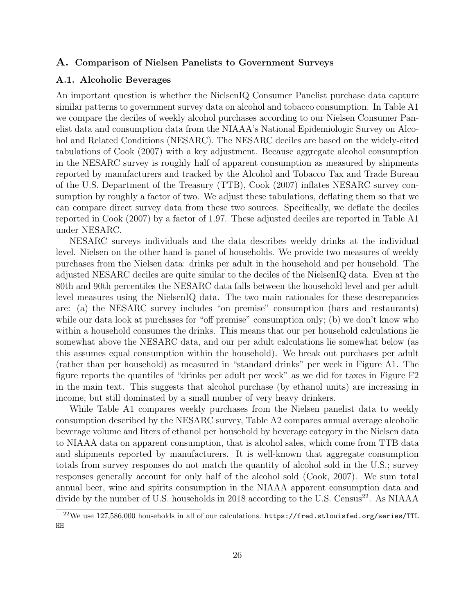### <span id="page-26-0"></span>A. Comparison of Nielsen Panelists to Government Surveys

### A.1. Alcoholic Beverages

An important question is whether the NielsenIQ Consumer Panelist purchase data capture similar patterns to government survey data on alcohol and tobacco consumption. In Table [A1](#page-27-0) we compare the deciles of weekly alcohol purchases according to our Nielsen Consumer Panelist data and consumption data from the NIAAA's National Epidemiologic Survey on Alcohol and Related Conditions (NESARC). The NESARC deciles are based on the widely-cited tabulations of [Cook](#page-24-14) [\(2007\)](#page-24-14) with a key adjustment. Because aggregate alcohol consumption in the NESARC survey is roughly half of apparent consumption as measured by shipments reported by manufacturers and tracked by the Alcohol and Tobacco Tax and Trade Bureau of the U.S. Department of the Treasury (TTB), [Cook](#page-24-14) [\(2007\)](#page-24-14) inflates NESARC survey consumption by roughly a factor of two. We adjust these tabulations, deflating them so that we can compare direct survey data from these two sources. Specifically, we deflate the deciles reported in [Cook](#page-24-14) [\(2007\)](#page-24-14) by a factor of 1.97. These adjusted deciles are reported in Table [A1](#page-27-0) under NESARC.

NESARC surveys individuals and the data describes weekly drinks at the individual level. Nielsen on the other hand is panel of households. We provide two measures of weekly purchases from the Nielsen data: drinks per adult in the household and per household. The adjusted NESARC deciles are quite similar to the deciles of the NielsenIQ data. Even at the 80th and 90th percentiles the NESARC data falls between the household level and per adult level measures using the NielsenIQ data. The two main rationales for these descrepancies are: (a) the NESARC survey includes "on premise" consumption (bars and restaurants) while our data look at purchases for "off premise" consumption only; (b) we don't know who within a household consumes the drinks. This means that our per household calculations lie somewhat above the NESARC data, and our per adult calculations lie somewhat below (as this assumes equal consumption within the household). We break out purchases per adult (rather than per household) as measured in "standard drinks" per week in Figure [A1.](#page-28-0) The figure reports the quantiles of "drinks per adult per week" as we did for taxes in Figure [F2](#page-49-0) in the main text. This suggests that alcohol purchase (by ethanol units) are increasing in income, but still dominated by a small number of very heavy drinkers.

While Table [A1](#page-27-0) compares weekly purchases from the Nielsen panelist data to weekly consumption described by the NESARC survey, Table [A2](#page-27-1) compares annual average alcoholic beverage volume and liters of ethanol per household by beverage category in the Nielsen data to NIAAA data on apparent consumption, that is alcohol sales, which come from TTB data and shipments reported by manufacturers. It is well-known that aggregate consumption totals from survey responses do not match the quantity of alcohol sold in the U.S.; survey responses generally account for only half of the alcohol sold [\(Cook, 2007\)](#page-24-14). We sum total annual beer, wine and spirits consumption in the NIAAA apparent consumption data and divide by the number of U.S. households in 2018 according to the U.S. Census<sup>[22](#page-26-1)</sup>. As NIAAA

<span id="page-26-1"></span><sup>22</sup>We use 127,586,000 households in all of our calculations. [https://fred.stlouisfed.org/series/TTL](https://fred.stlouisfed.org/series/TTLHH) [HH](https://fred.stlouisfed.org/series/TTLHH)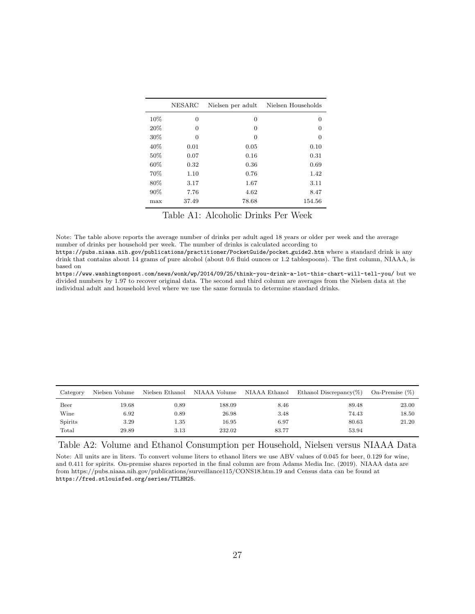<span id="page-27-0"></span>

|      | NESARC   | Nielsen per adult | Nielsen Households |
|------|----------|-------------------|--------------------|
| 10%  | $\Omega$ | 0                 | 0                  |
| 20%  | $\Omega$ | 0                 | 0                  |
| 30%  | $\Omega$ | $\Omega$          | $\Omega$           |
| 40\% | 0.01     | 0.05              | 0.10               |
| 50%  | 0.07     | 0.16              | 0.31               |
| 60%  | 0.32     | 0.36              | 0.69               |
| 70%  | 1.10     | 0.76              | 1.42               |
| 80%  | 3.17     | 1.67              | 3.11               |
| 90%  | 7.76     | 4.62              | 8.47               |
| max  | 37.49    | 78.68             | 154.56             |

Table A1: Alcoholic Drinks Per Week

Note: The table above reports the average number of drinks per adult aged 18 years or older per week and the average number of drinks per household per week. The number of drinks is calculated according to

[https://pubs.niaaa.nih.gov/publications/practitioner/PocketGuide/pocket](https://pubs.niaaa.nih.gov/publications/practitioner/PocketGuide/pocket_guide2.htm) guide2.htm where a standard drink is any drink that contains about 14 grams of pure alcohol (about 0.6 fluid ounces or 1.2 tablespoons). The first column, NIAAA, is based on

<https://www.washingtonpost.com/news/wonk/wp/2014/09/25/think-you-drink-a-lot-this-chart-will-tell-you/> but we divided numbers by 1.97 to recover original data. The second and third column are averages from the Nielsen data at the individual adult and household level where we use the same formula to determine standard drinks.

<span id="page-27-1"></span>

| Category | Nielsen Volume | Nielsen Ethanol | NIAAA Volume NIAAA Ethanol |       | Ethanol Discrepancy(%) | On-Premise (%) |
|----------|----------------|-----------------|----------------------------|-------|------------------------|----------------|
| Beer     | 19.68          | $_{0.89}$       | 188.09                     | 8.46  | 89.48                  | 23.00          |
| Wine     | 6.92           | 0.89            | 26.98                      | 3.48  | 74.43                  | 18.50          |
| Spirits  | 3.29           | $1.35\,$        | 16.95                      | 6.97  | 80.63                  | 21.20          |
| Total    | 29.89          | 3.13            | 232.02                     | 83.77 | 53.94                  |                |

Table A2: Volume and Ethanol Consumption per Household, Nielsen versus NIAAA Data

Note: All units are in liters. To convert volume liters to ethanol liters we use ABV values of 0.045 for beer, 0.129 for wine, and 0.411 for spirits. On-premise shares reported in the final column are from [Adams Media Inc.](#page-23-8) [\(2019\)](#page-23-8). NIAAA data are from https://pubs.niaaa.nih.gov/publications/surveillance115/CONS18.htm.19 and Census data can be found at <https://fred.stlouisfed.org/series/TTLHH25>.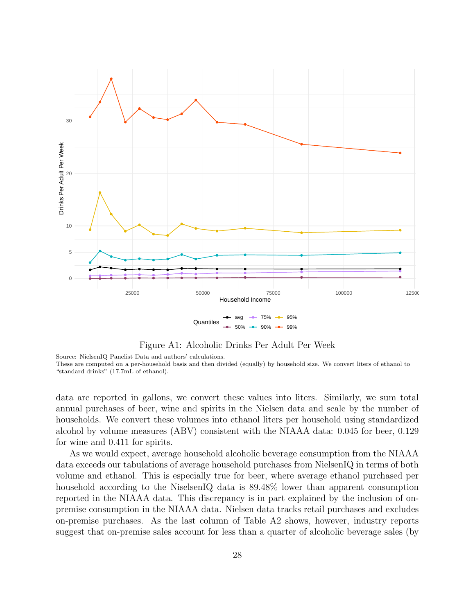<span id="page-28-0"></span>

Figure A1: Alcoholic Drinks Per Adult Per Week

Source: NielsenIQ Panelist Data and authors' calculations.

These are computed on a per-household basis and then divided (equally) by household size. We convert liters of ethanol to "standard drinks" (17.7mL of ethanol).

data are reported in gallons, we convert these values into liters. Similarly, we sum total annual purchases of beer, wine and spirits in the Nielsen data and scale by the number of households. We convert these volumes into ethanol liters per household using standardized alcohol by volume measures (ABV) consistent with the NIAAA data: 0.045 for beer, 0.129 for wine and 0.411 for spirits.

As we would expect, average household alcoholic beverage consumption from the NIAAA data exceeds our tabulations of average household purchases from NielsenIQ in terms of both volume and ethanol. This is especially true for beer, where average ethanol purchased per household according to the NiselsenIQ data is 89.48% lower than apparent consumption reported in the NIAAA data. This discrepancy is in part explained by the inclusion of onpremise consumption in the NIAAA data. Nielsen data tracks retail purchases and excludes on-premise purchases. As the last column of Table [A2](#page-27-1) shows, however, industry reports suggest that on-premise sales account for less than a quarter of alcoholic beverage sales (by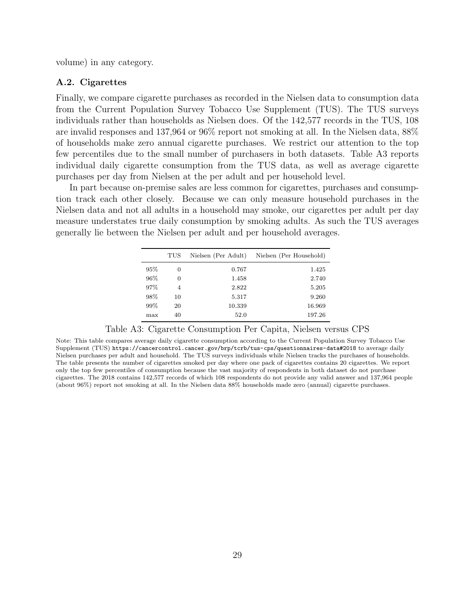volume) in any category.

#### A.2. Cigarettes

Finally, we compare cigarette purchases as recorded in the Nielsen data to consumption data from the Current Population Survey Tobacco Use Supplement (TUS). The TUS surveys individuals rather than households as Nielsen does. Of the 142,577 records in the TUS, 108 are invalid responses and 137,964 or 96% report not smoking at all. In the Nielsen data, 88% of households make zero annual cigarette purchases. We restrict our attention to the top few percentiles due to the small number of purchasers in both datasets. Table [A3](#page-29-0) reports individual daily cigarette consumption from the TUS data, as well as average cigarette purchases per day from Nielsen at the per adult and per household level.

<span id="page-29-0"></span>In part because on-premise sales are less common for cigarettes, purchases and consumption track each other closely. Because we can only measure household purchases in the Nielsen data and not all adults in a household may smoke, our cigarettes per adult per day measure understates true daily consumption by smoking adults. As such the TUS averages generally lie between the Nielsen per adult and per household averages.

|      | TUS | Nielsen (Per Adult) | Nielsen (Per Household) |
|------|-----|---------------------|-------------------------|
| 95%  | 0   | 0.767               | 1.425                   |
| 96\% | 0   | 1.458               | 2.740                   |
| 97%  | 4   | 2.822               | 5.205                   |
| 98%  | 10  | 5.317               | 9.260                   |
| 99%  | 20  | 10.339              | 16.969                  |
| max  | 40  | 52.0                | 197.26                  |

|  | Table A3: Cigarette Consumption Per Capita, Nielsen versus CPS |  |  |  |
|--|----------------------------------------------------------------|--|--|--|

Note: This table compares average daily cigarette consumption according to the Current Population Survey Tobacco Use Supplement (TUS) <https://cancercontrol.cancer.gov/brp/tcrb/tus-cps/questionnaires-data#2018> to average daily Nielsen purchases per adult and household. The TUS surveys individuals while Nielsen tracks the purchases of households. The table presents the number of cigarettes smoked per day where one pack of cigarettes contains 20 cigarettes. We report only the top few percentiles of consumption because the vast majority of respondents in both dataset do not purchase cigarettes. The 2018 contains 142,577 records of which 108 respondents do not provide any valid answer and 137,964 people (about 96%) report not smoking at all. In the Nielsen data 88% households made zero (annual) cigarette purchases.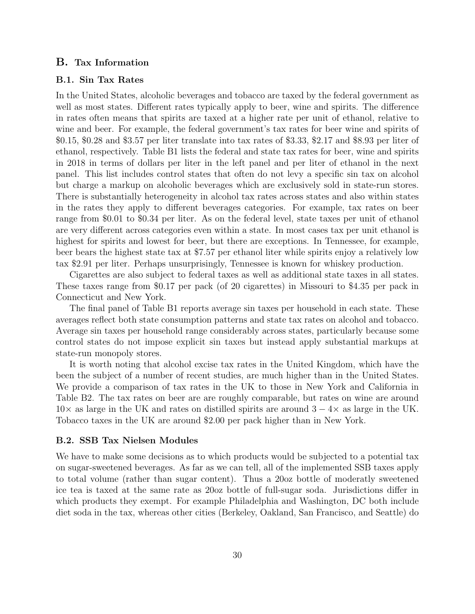### B. Tax Information

#### <span id="page-30-0"></span>B.1. Sin Tax Rates

In the United States, alcoholic beverages and tobacco are taxed by the federal government as well as most states. Different rates typically apply to beer, wine and spirits. The difference in rates often means that spirits are taxed at a higher rate per unit of ethanol, relative to wine and beer. For example, the federal government's tax rates for beer wine and spirits of \$0.15, \$0.28 and \$3.57 per liter translate into tax rates of \$3.33, \$2.17 and \$8.93 per liter of ethanol, respectively. Table [B1](#page-32-0) lists the federal and state tax rates for beer, wine and spirits in 2018 in terms of dollars per liter in the left panel and per liter of ethanol in the next panel. This list includes control states that often do not levy a specific sin tax on alcohol but charge a markup on alcoholic beverages which are exclusively sold in state-run stores. There is substantially heterogeneity in alcohol tax rates across states and also within states in the rates they apply to different beverages categories. For example, tax rates on beer range from \$0.01 to \$0.34 per liter. As on the federal level, state taxes per unit of ethanol are very different across categories even within a state. In most cases tax per unit ethanol is highest for spirits and lowest for beer, but there are exceptions. In Tennessee, for example, beer bears the highest state tax at \$7.57 per ethanol liter while spirits enjoy a relatively low tax \$2.91 per liter. Perhaps unsurprisingly, Tennessee is known for whiskey production.

Cigarettes are also subject to federal taxes as well as additional state taxes in all states. These taxes range from \$0.17 per pack (of 20 cigarettes) in Missouri to \$4.35 per pack in Connecticut and New York.

The final panel of Table [B1](#page-32-0) reports average sin taxes per household in each state. These averages reflect both state consumption patterns and state tax rates on alcohol and tobacco. Average sin taxes per household range considerably across states, particularly because some control states do not impose explicit sin taxes but instead apply substantial markups at state-run monopoly stores.

It is worth noting that alcohol excise tax rates in the United Kingdom, which have the been the subject of a number of recent studies, are much higher than in the United States. We provide a comparison of tax rates in the UK to those in New York and California in Table [B2.](#page-33-0) The tax rates on beer are are roughly comparable, but rates on wine are around  $10\times$  as large in the UK and rates on distilled spirits are around  $3-4\times$  as large in the UK. Tobacco taxes in the UK are around \$2.00 per pack higher than in New York.

#### B.2. SSB Tax Nielsen Modules

We have to make some decisions as to which products would be subjected to a potential tax on sugar-sweetened beverages. As far as we can tell, all of the implemented SSB taxes apply to total volume (rather than sugar content). Thus a 20oz bottle of moderatly sweetened ice tea is taxed at the same rate as 20oz bottle of full-sugar soda. Jurisdictions differ in which products they exempt. For example Philadelphia and Washington, DC both include diet soda in the tax, whereas other cities (Berkeley, Oakland, San Francisco, and Seattle) do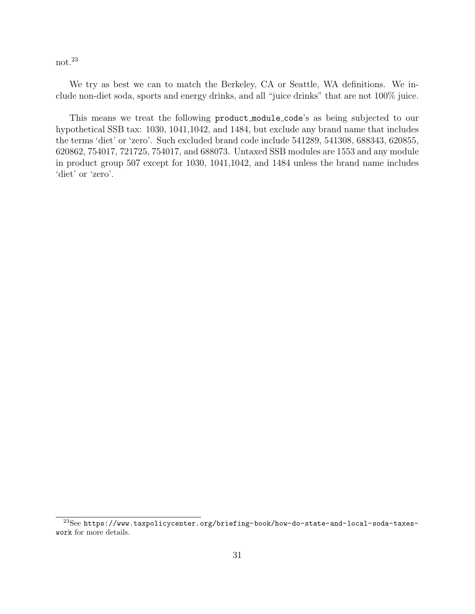not.[23](#page-31-0)

We try as best we can to match the Berkeley, CA or Seattle, WA definitions. We include non-diet soda, sports and energy drinks, and all "juice drinks" that are not 100% juice.

This means we treat the following product module code's as being subjected to our hypothetical SSB tax: 1030, 1041,1042, and 1484, but exclude any brand name that includes the terms 'diet' or 'zero'. Such excluded brand code include 541289, 541308, 688343, 620855, 620862, 754017, 721725, 754017, and 688073. Untaxed SSB modules are 1553 and any module in product group 507 except for 1030, 1041,1042, and 1484 unless the brand name includes 'diet' or 'zero'.

<span id="page-31-0"></span><sup>23</sup>See [https://www.taxpolicycenter.org/briefing-book/how-do-state-and-local-soda-taxes](https://www.taxpolicycenter.org/briefing-book/how-do-state-and-local-soda-taxes-work)[work](https://www.taxpolicycenter.org/briefing-book/how-do-state-and-local-soda-taxes-work) for more details.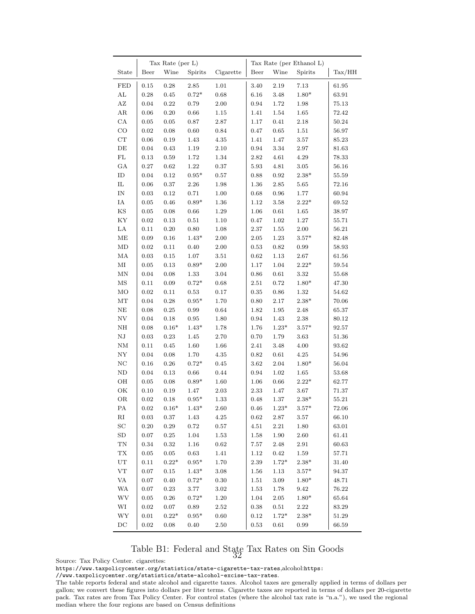<span id="page-32-0"></span>

|                          |                        | Tax Rate (per L) |                 |              |                  |                  | Tax Rate (per Ethanol L) |                        |
|--------------------------|------------------------|------------------|-----------------|--------------|------------------|------------------|--------------------------|------------------------|
| State                    | Beer                   | Wine             | Spirits         | Cigarette    | Beer             | Wine             | Spirits                  | $\text{Tax}/\text{HH}$ |
| <b>FED</b>               | 0.15                   | 0.28             | 2.85            | 1.01         | 3.40             | $2.19\,$         | 7.13                     | 61.95                  |
| ${\rm AL}$               | 0.28                   | 0.45             | $0.72*$         | 0.68         | 6.16             | 3.48             | $1.80*$                  | 63.91                  |
| $\mathbf{AZ}$            | 0.04                   | 0.22             | 0.79            | 2.00         | 0.94             | 1.72             | 1.98                     | 75.13                  |
| ${\rm AR}$               | 0.06                   | 0.20             | 0.66            | 1.15         | 1.41             | 1.54             | 1.65                     | 72.42                  |
| $_{\rm CA}$              | 0.05                   | $0.05\,$         | 0.87            | $2.87\,$     | 1.17             | $0.41\,$         | $2.18\,$                 | $50.24\,$              |
| $_{\rm CO}$              | 0.02                   | $0.08\,$         | 0.60            | $\rm 0.84$   | $0.47\,$         | $\,0.65\,$       | 1.51                     | 56.97                  |
| ${\rm CT}$               | 0.06                   | $0.19\,$         | 1.43            | $4.35\,$     | 1.41             | $1.47\,$         | $3.57\,$                 | 85.23                  |
| $\rm{DE}$                | 0.04                   | 0.43             | 1.19            | $2.10\,$     | 0.94             | $3.34\,$         | 2.97                     | 81.63                  |
| $\rm FL$                 | 0.13                   | 0.59             | 1.72            | 1.34         | 2.82             | $4.61\,$         | $4.29\,$                 | 78.33                  |
| GA                       | 0.27                   | 0.62             | 1.22            | 0.37         | 5.93             | $4.81\,$         | 3.05                     | 56.16                  |
| ${\rm ID}$               | 0.04                   | 0.12             | $0.95*$         | $0.57\,$     | 0.88             | 0.92             | $2.38*$                  | 55.59                  |
| $\rm IL$                 | 0.06                   | 0.37             | $2.26\,$        | 1.98         | 1.36             | 2.85             | $5.65\,$                 | 72.16                  |
| $\ensuremath{\text{IN}}$ | 0.03                   | 0.12             | 0.71            | 1.00         | 0.68             | 0.96             | 1.77                     | 60.94                  |
| IA                       | 0.05                   | 0.46             | $0.89*$         | 1.36         | 1.12             | 3.58             | $2.22^{\ast}$            | 69.52                  |
| $_{\rm KS}$              | 0.05                   | 0.08             | $0.66\,$        | 1.29         | 1.06             | $0.61\,$         | 1.65                     | 38.97                  |
| KY                       | 0.02                   | 0.13             | 0.51            | 1.10         | 0.47             | 1.02             | 1.27                     | 55.71                  |
| LA                       | 0.11                   | $0.20\,$         | 0.80            | 1.08         | $2.37\,$         | 1.55             | 2.00                     | 56.21                  |
| $\operatorname{ME}$      | $0.09\,$               | $0.16\,$         | $1.43*$         | 2.00         | 2.05             | 1.23             | $3.57*$                  | 82.48                  |
| $\rm MD$                 | 0.02                   | 0.11             | 0.40            | $2.00\,$     | 0.53             | $\rm 0.82$       | 0.99                     | 58.93                  |
| MA                       | 0.03                   | $\rm 0.15$       | 1.07            | $3.51\,$     | $\rm 0.62$       | 1.13             | $2.67\,$                 | 61.56                  |
| $\rm MI$                 | 0.05                   | $\rm 0.13$       | $0.89*$         | 2.00         | 1.17             | $1.04\,$         | $2.22*$                  | 59.54                  |
| $\mbox{MN}$              | 0.04                   | $0.08\,$         | 1.33            | 3.04         | $0.86\,$         | $0.61\,$         | 3.32                     | 55.68                  |
| $_{\rm MS}$              | 0.11                   | 0.09             | $0.72*$         | 0.68         | $2.51\,$         | 0.72             | $1.80*$                  | 47.30                  |
| MO                       | $0.02\,$               | 0.11             | 0.53            | 0.17         | 0.35             | 0.86             | 1.32                     | 54.62                  |
| $\rm{MT}$                | 0.04                   | $0.28\,$         | $0.95*$         | $1.70\,$     | 0.80             | $2.17\,$         | $2.38*$                  | 70.06                  |
| $\rm NE$                 | $0.08\,$               | $\rm 0.25$       | $\rm 0.99$      | 0.64         | 1.82             | $1.95\,$         | 2.48                     | 65.37                  |
| ${\rm NV}$               | 0.04                   | 0.18             | 0.95            | 1.80         | 0.94             | 1.43             | 2.38                     | 80.12                  |
|                          |                        |                  | $1.43*$         |              |                  |                  | $3.57*$                  |                        |
| $\rm NH$<br>${\rm NJ}$   | $0.08\,$<br>$\rm 0.03$ | $0.16*$<br>0.23  | 1.45            | 1.78<br>2.70 | 1.76<br>0.70     | $1.23*$<br>1.79  | 3.63                     | 92.57<br>51.36         |
| $\mathrm{NM}$            |                        |                  |                 |              |                  |                  |                          |                        |
| ${\rm NY}$               | 0.11                   | 0.45             | 1.60            | 1.66         | 2.41             | 3.48             | 4.00                     | 93.62                  |
|                          | 0.04                   | $0.08\,$         | 1.70<br>$0.72*$ | 4.35         | 0.82             | $0.61\,$         | 4.25<br>$1.80*$          | 54.96                  |
| $\rm NC$                 | 0.16                   | $0.26\,$         |                 | $0.45\,$     | 3.62             | $2.04\,$         |                          | $56.04\,$              |
| $\rm ND$                 | 0.04                   | $\rm 0.13$       | $0.66\,$        | $0.44\,$     | $\rm 0.94$       | $1.02\,$         | $1.65\,$<br>$2.22*$      | 53.68                  |
| OH<br>OK                 | $\rm 0.05$<br>$0.10\,$ | $0.08\,$<br>0.19 | $0.89*$<br>1.47 | $1.60\,$     | $1.06\,$<br>2.33 | $0.66\,$<br>1.47 |                          | 62.77                  |
|                          |                        |                  |                 | 2.03         |                  |                  | $3.67\,$                 | 71.37                  |
| OR                       | 0.02                   | 0.18             | $0.95*$         | 1.33         | $_{0.48}$        | 1.37             | $2.38*$                  | 55.21                  |
| PA                       | 0.02                   | $0.16*$          | $1.43*$         | 2.60         | 0.46             | $1.23*$          | $3.57*$                  | 72.06                  |
| $\rm RI$                 | $\rm 0.03$             | 0.37             | 1.43            | $4.25\,$     | $\rm 0.62$       | 2.87             | 3.57                     | 66.10                  |
| $\operatorname{SC}$      | $0.20\,$               | $\rm 0.29$       | $0.72\,$        | 0.57         | $4.51\,$         | $2.21\,$         | 1.80                     | 63.01                  |
| ${\rm SD}$               | $0.07\,$               | $\rm 0.25$       | $1.04\,$        | 1.53         | $1.58\,$         | $1.90\,$         | $2.60\,$                 | 61.41                  |
| $\mathcal{T}\mathcal{N}$ | $\rm 0.34$             | 0.32             | $1.16\,$        | 0.62         | $7.57\,$         | $2.48\,$         | $2.91\,$                 | 60.63                  |
| ${\rm T}{\rm X}$         | $0.05\,$               | $0.05\,$         | 0.63            | 1.41         | 1.12             | $\rm 0.42$       | 1.59                     | 57.71                  |
| $_{\rm UT}$              | 0.11                   | $0.22*$          | $0.95^{\ast}$   | 1.70         | $2.39\,$         | $1.72*$          | $2.38*$                  | 31.40                  |
| ${\rm VT}$               | 0.07                   | 0.15             | $1.43*$         | 3.08         | 1.56             | 1.13             | $3.57*$                  | 94.37                  |
| $\rm VA$                 | 0.07                   | $0.40\,$         | $0.72*$         | 0.30         | 1.51             | $3.09\,$         | $1.80*$                  | 48.71                  |
| WA                       | $0.07\,$               | $\rm 0.23$       | $3.77\,$        | $3.02\,$     | $1.53\,$         | 1.78             | $\boldsymbol{9.42}$      | $76.22\,$              |
| <b>WV</b>                | $0.05\,$               | $0.26\,$         | $0.72*$         | 1.20         | $1.04\,$         | $2.05\,$         | $1.80*$                  | 65.64                  |
| WI                       | $\rm 0.02$             | $0.07\,$         | 0.89            | 2.52         | 0.38             | $0.51\,$         | 2.22                     | 83.29                  |
| WY                       | 0.01                   | $0.22^{\ast}$    | $0.95^{\ast}$   | $0.60\,$     | $0.12\,$         | $1.72^{\ast}$    | $2.38^{\ast}$            | 51.29                  |
| $_{\mathrm{DC}}$         | $\rm 0.02$             | 0.08             | $0.40\,$        | $2.50\,$     | $\rm 0.53$       | $0.61\,$         | 0.99                     | 66.59                  |

# Table B1: Federal and State Tax Rates on Sin Goods 32

Source: Tax Policy Center. cigarettes:

<https://www.taxpolicycenter.org/statistics/state-cigarette-tax-rates>,alcohol:[https:](https://www.taxpolicycenter.org/statistics/state-alcohol-excise-tax-rates)

[//www.taxpolicycenter.org/statistics/state-alcohol-excise-tax-rates](https://www.taxpolicycenter.org/statistics/state-alcohol-excise-tax-rates).

The table reports federal and state alcohol and cigarette taxes. Alcohol taxes are generally applied in terms of dollars per gallon; we convert these figures into dollars per liter terms. Cigarette taxes are reported in terms of dollars per 20-cigarette pack. Tax rates are from Tax Policy Center. For control states (where the alcohol tax rate is "n.a."), we used the regional median where the four regions are based on Census definitions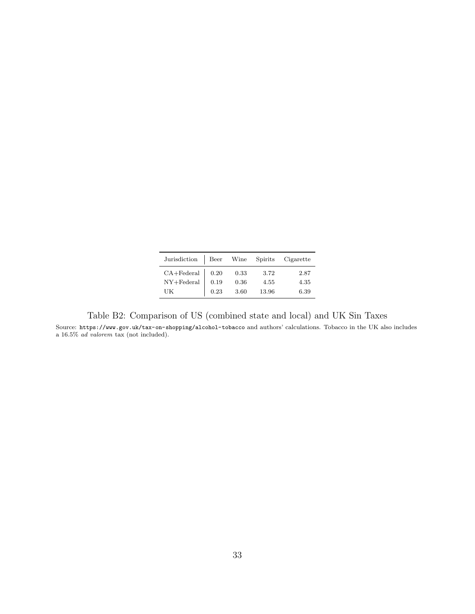| Jurisdiction Beer Wine Spirits Cigarette                                                                      |              |                      |                       |                      |
|---------------------------------------------------------------------------------------------------------------|--------------|----------------------|-----------------------|----------------------|
| $\text{CA+Federal}\ \textcolor{red}{\mid} \ \ 0.20$<br>$\ensuremath{\text{NY}}\xspace + \text{Federal}$<br>UK | 0.19<br>0.23 | 0.33<br>0.36<br>3.60 | 3.72<br>4.55<br>13.96 | 2.87<br>4.35<br>6.39 |

<span id="page-33-0"></span>Table B2: Comparison of US (combined state and local) and UK Sin Taxes

Source: <https://www.gov.uk/tax-on-shopping/alcohol-tobacco> and authors' calculations. Tobacco in the UK also includes a 16.5% ad valorem tax (not included).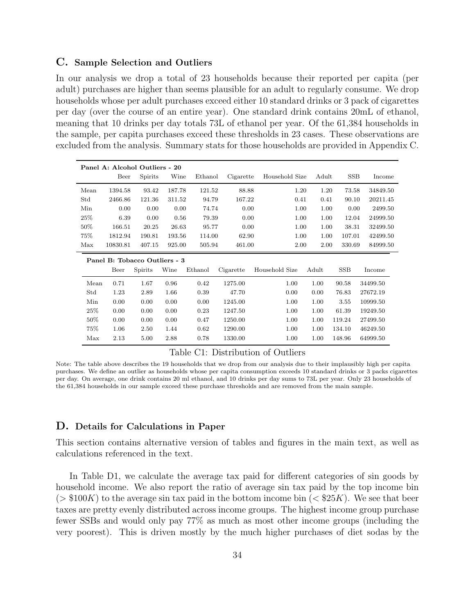#### <span id="page-34-0"></span>C. Sample Selection and Outliers

In our analysis we drop a total of 23 households because their reported per capita (per adult) purchases are higher than seems plausible for an adult to regularly consume. We drop households whose per adult purchases exceed either 10 standard drinks or 3 pack of cigarettes per day (over the course of an entire year). One standard drink contains 20mL of ethanol, meaning that 10 drinks per day totals 73L of ethanol per year. Of the 61,384 households in the sample, per capita purchases exceed these thresholds in 23 cases. These observations are excluded from the analysis. Summary stats for those households are provided in Appendix [C.](#page-34-0)

|        | Panel A: Alcohol Outliers - 20 |                               |        |         |           |                |       |            |          |  |  |  |
|--------|--------------------------------|-------------------------------|--------|---------|-----------|----------------|-------|------------|----------|--|--|--|
|        | Beer                           | Spirits                       | Wine   | Ethanol | Cigarette | Household Size | Adult | <b>SSB</b> | Income   |  |  |  |
| Mean   | 1394.58                        | 93.42                         | 187.78 | 121.52  | 88.88     | 1.20           | 1.20  | 73.58      | 34849.50 |  |  |  |
| Std    | 2466.86                        | 121.36                        | 311.52 | 94.79   | 167.22    | 0.41           | 0.41  | 90.10      | 20211.45 |  |  |  |
| Min    | 0.00                           | 0.00                          | 0.00   | 74.74   | 0.00      | 1.00           | 1.00  | 0.00       | 2499.50  |  |  |  |
| 25%    | 6.39                           | 0.00                          | 0.56   | 79.39   | 0.00      | 1.00           | 1.00  | 12.04      | 24999.50 |  |  |  |
| 50%    | 166.51                         | 20.25                         | 26.63  | 95.77   | 0.00      | 1.00           | 1.00  | 38.31      | 32499.50 |  |  |  |
| 75%    | 1812.94                        | 190.81                        | 193.56 | 114.00  | 62.90     | 1.00           | 1.00  | 107.01     | 42499.50 |  |  |  |
| Max    | 10830.81                       | 407.15                        | 925.00 | 505.94  | 461.00    | 2.00           | 2.00  | 330.69     | 84999.50 |  |  |  |
|        |                                |                               |        |         |           |                |       |            |          |  |  |  |
|        |                                | Panel B: Tobacco Outliers - 3 |        |         |           |                |       |            |          |  |  |  |
|        | Beer                           | Spirits                       | Wine   | Ethanol | Cigarette | Household Size | Adult | <b>SSB</b> | Income   |  |  |  |
| Mean   | 0.71                           | 1.67                          | 0.96   | 0.42    | 1275.00   | 1.00           | 1.00  | 90.58      | 34499.50 |  |  |  |
| Std    | 1.23                           | 2.89                          | 1.66   | 0.39    | 47.70     | 0.00           | 0.00  | 76.83      | 27672.19 |  |  |  |
| Min    | 0.00                           | 0.00                          | 0.00   | 0.00    | 1245.00   | 1.00           | 1.00  | 3.55       | 10999.50 |  |  |  |
| $25\%$ | 0.00                           | 0.00                          | 0.00   | 0.23    | 1247.50   | 1.00           | 1.00  | 61.39      | 19249.50 |  |  |  |
| 50%    | 0.00                           | 0.00                          | 0.00   | 0.47    | 1250.00   | 1.00           | 1.00  | 119.24     | 27499.50 |  |  |  |
| 75%    | 1.06                           | 2.50                          | 1.44   | 0.62    | 1290.00   | 1.00           | 1.00  | 134.10     | 46249.50 |  |  |  |

#### Table C1: Distribution of Outliers

Note: The table above describes the 19 households that we drop from our analysis due to their implausibly high per capita purchases. We define an outlier as households whose per capita consumption exceeds 10 standard drinks or 3 packs cigarettes per day. On average, one drink contains 20 ml ethanol, and 10 drinks per day sums to 73L per year. Only 23 households of the 61,384 households in our sample exceed these purchase thresholds and are removed from the main sample.

### <span id="page-34-1"></span>D. Details for Calculations in Paper

This section contains alternative version of tables and figures in the main text, as well as calculations referenced in the text.

In Table [D1,](#page-35-0) we calculate the average tax paid for different categories of sin goods by household income. We also report the ratio of average sin tax paid by the top income bin  $(> $100K)$  to the average sin tax paid in the bottom income bin  $(< $25K)$ . We see that beer taxes are pretty evenly distributed across income groups. The highest income group purchase fewer SSBs and would only pay 77% as much as most other income groups (including the very poorest). This is driven mostly by the much higher purchases of diet sodas by the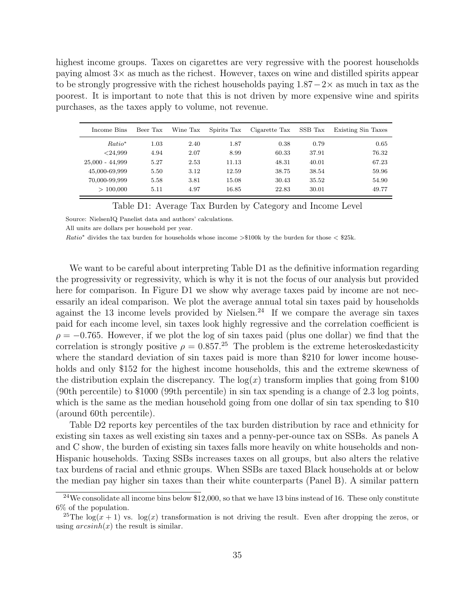highest income groups. Taxes on cigarettes are very regressive with the poorest households paying almost 3× as much as the richest. However, taxes on wine and distilled spirits appear to be strongly progressive with the richest households paying  $1.87-2\times$  as much in tax as the poorest. It is important to note that this is not driven by more expensive wine and spirits purchases, as the taxes apply to volume, not revenue.

<span id="page-35-0"></span>

| Income Bins        | Beer Tax | Wine Tax | Spirits Tax | Cigarette Tax | SSB Tax | Existing Sin Taxes |
|--------------------|----------|----------|-------------|---------------|---------|--------------------|
| Ratio <sup>*</sup> | 1.03     | 2.40     | 1.87        | 0.38          | 0.79    | 0.65               |
| < 24.999           | 4.94     | 2.07     | 8.99        | 60.33         | 37.91   | 76.32              |
| $25,000 - 44,999$  | 5.27     | 2.53     | 11.13       | 48.31         | 40.01   | 67.23              |
| 45,000-69,999      | 5.50     | 3.12     | 12.59       | 38.75         | 38.54   | 59.96              |
| 70,000-99,999      | 5.58     | 3.81     | 15.08       | 30.43         | 35.52   | 54.90              |
| > 100,000          | 5.11     | 4.97     | 16.85       | 22.83         | 30.01   | 49.77              |

Table D1: Average Tax Burden by Category and Income Level

Source: NielsenIQ Panelist data and authors' calculations.

All units are dollars per household per year.

Ratio<sup>∗</sup> divides the tax burden for households whose income >\$100k by the burden for those < \$25k.

We want to be careful about interpreting Table [D1](#page-35-0) as the definitive information regarding the progressivity or regressivity, which is why it is not the focus of our analysis but provided here for comparison. In Figure [D1](#page-36-0) we show why average taxes paid by income are not necessarily an ideal comparison. We plot the average annual total sin taxes paid by households against the 13 income levels provided by Nielsen.<sup>[24](#page-35-1)</sup> If we compare the average sin taxes paid for each income level, sin taxes look highly regressive and the correlation coefficient is  $\rho = -0.765$ . However, if we plot the log of sin taxes paid (plus one dollar) we find that the correlation is strongly positive  $\rho = 0.857^{25}$  $\rho = 0.857^{25}$  $\rho = 0.857^{25}$  The problem is the extreme heteroskedasticity where the standard deviation of sin taxes paid is more than \$210 for lower income households and only \$152 for the highest income households, this and the extreme skewness of the distribution explain the discrepancy. The  $log(x)$  transform implies that going from \$100 (90th percentile) to \$1000 (99th percentile) in sin tax spending is a change of 2.3 log points, which is the same as the median household going from one dollar of sin tax spending to \$10 (around 60th percentile).

Table [D2](#page-37-0) reports key percentiles of the tax burden distribution by race and ethnicity for existing sin taxes as well existing sin taxes and a penny-per-ounce tax on SSBs. As panels A and C show, the burden of existing sin taxes falls more heavily on white households and non-Hispanic households. Taxing SSBs increases taxes on all groups, but also alters the relative tax burdens of racial and ethnic groups. When SSBs are taxed Black households at or below the median pay higher sin taxes than their white counterparts (Panel B). A similar pattern

<span id="page-35-1"></span> $24$ We consolidate all income bins below \$12,000, so that we have 13 bins instead of 16. These only constitute 6% of the population.

<span id="page-35-2"></span><sup>&</sup>lt;sup>25</sup>The log(x + 1) vs. log(x) transformation is not driving the result. Even after dropping the zeros, or using  $arcsinh(x)$  the result is similar.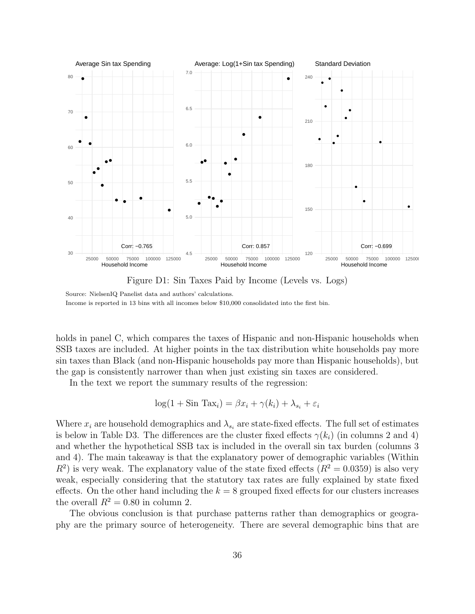<span id="page-36-0"></span>

Figure D1: Sin Taxes Paid by Income (Levels vs. Logs)

holds in panel C, which compares the taxes of Hispanic and non-Hispanic households when SSB taxes are included. At higher points in the tax distribution white households pay more sin taxes than Black (and non-Hispanic households pay more than Hispanic households), but the gap is consistently narrower than when just existing sin taxes are considered.

In the text we report the summary results of the regression:

$$
\log(1 + \sin \text{ Tax}_i) = \beta x_i + \gamma(k_i) + \lambda_{s_i} + \varepsilon_i
$$

Where  $x_i$  are household demographics and  $\lambda_{s_i}$  are state-fixed effects. The full set of estimates is below in Table [D3.](#page-38-0) The differences are the cluster fixed effects  $\gamma(k_i)$  (in columns 2 and 4) and whether the hypothetical SSB tax is included in the overall sin tax burden (columns 3 and 4). The main takeaway is that the explanatory power of demographic variables (Within  $R<sup>2</sup>$ ) is very weak. The explanatory value of the state fixed effects  $(R<sup>2</sup> = 0.0359)$  is also very weak, especially considering that the statutory tax rates are fully explained by state fixed effects. On the other hand including the  $k = 8$  grouped fixed effects for our clusters increases the overall  $R^2 = 0.80$  in column 2.

The obvious conclusion is that purchase patterns rather than demographics or geography are the primary source of heterogeneity. There are several demographic bins that are

Source: NielsenIQ Panelist data and authors' calculations. Income is reported in 13 bins with all incomes below \$10,000 consolidated into the first bin.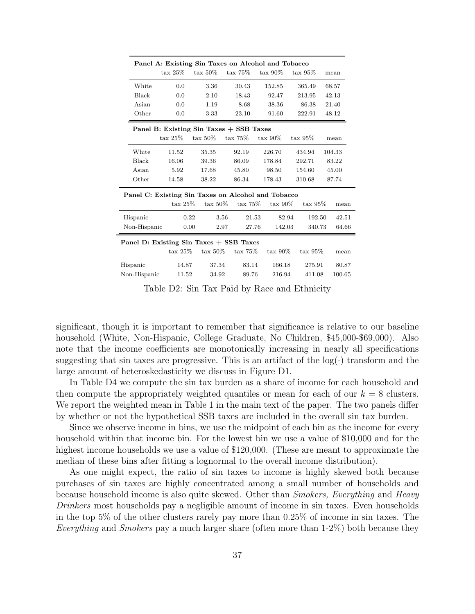<span id="page-37-0"></span>

|                                                    |                    |                    |                                         | Panel A: Existing Sin Taxes on Alcohol and Tobacco |                    |        |
|----------------------------------------------------|--------------------|--------------------|-----------------------------------------|----------------------------------------------------|--------------------|--------|
|                                                    | $\text{tax }25\%$  | $\text{tax } 50\%$ | $\text{tax } 75\%$                      | $\text{tax } 90\%$                                 | $\text{tax } 95\%$ | mean   |
| White                                              | 0.0                | 3.36               | 30.43                                   | 152.85                                             | 365.49             | 68.57  |
| Black                                              | 0.0                | 2.10               | 18.43                                   | 92.47                                              | 213.95             | 42.13  |
| Asian                                              | 0.0                | 1.19               | 8.68                                    | 38.36                                              | 86.38              | 21.40  |
| Other                                              | 0.0                | 3.33               | 23.10                                   | 91.60                                              | 222.91             | 48.12  |
|                                                    |                    |                    | Panel B: Existing Sin Taxes + SSB Taxes |                                                    |                    |        |
|                                                    | $\text{tax }25\%$  | $\text{tax } 50\%$ | $\text{tax } 75\%$                      | $\text{tax } 90\%$                                 | $\text{tax } 95\%$ | mean   |
| White                                              | 11.52              | 35.35              | 92.19                                   | 226.70                                             | 434.94             | 104.33 |
| Black                                              | 16.06              | 39.36              | 86.09                                   | 178.84                                             | 292.71             | 83.22  |
| Asian                                              | 5.92               | 17.68              | 45.80                                   | 98.50                                              | 154.60             | 45.00  |
| Other                                              | 14.58              | 38.22              | 86.34                                   | 178.43                                             | 310.68             | 87.74  |
| Panel C: Existing Sin Taxes on Alcohol and Tobacco |                    |                    |                                         |                                                    |                    |        |
|                                                    | $\text{tax } 25\%$ | $\text{tax } 50\%$ | $\text{tax } 75\%$                      | $\text{tax } 90\%$                                 | $\text{tax}$ 95\%  | mean   |
| Hispanic                                           | 0.22               |                    | 3.56                                    | 21.53                                              | 82.94<br>192.50    | 42.51  |
| Non-Hispanic                                       | 0.00               |                    | 2.97                                    | 27.76<br>142.03                                    | 340.73             | 64.66  |
| Panel D: Existing Sin Taxes + SSB Taxes            |                    |                    |                                         |                                                    |                    |        |
|                                                    | $\text{tax } 25\%$ | $\text{tax } 50\%$ | $\text{tax } 75\%$                      | $\text{tax } 90\%$                                 | $\text{tax } 95\%$ | mean   |
| Hispanic                                           | 14.87              | 37.34              | 83.14                                   | 166.18                                             | 275.91             | 80.87  |
| Non-Hispanic                                       | 11.52              | 34.92              | 89.76                                   | 216.94                                             | 411.08             | 100.65 |

Table D2: Sin Tax Paid by Race and Ethnicity

significant, though it is important to remember that significance is relative to our baseline household (White, Non-Hispanic, College Graduate, No Children, \$45,000-\$69,000). Also note that the income coefficients are monotonically increasing in nearly all specifications suggesting that sin taxes are progressive. This is an artifact of the  $log(\cdot)$  transform and the large amount of heteroskedasticity we discuss in Figure [D1.](#page-36-0)

In Table [D4](#page-39-0) we compute the sin tax burden as a share of income for each household and then compute the appropriately weighted quantiles or mean for each of our  $k = 8$  clusters. We report the weighted mean in Table [1](#page-20-0) in the main text of the paper. The two panels differ by whether or not the hypothetical SSB taxes are included in the overall sin tax burden.

Since we observe income in bins, we use the midpoint of each bin as the income for every household within that income bin. For the lowest bin we use a value of \$10,000 and for the highest income households we use a value of \$120,000. (These are meant to approximate the median of these bins after fitting a lognormal to the overall income distribution).

As one might expect, the ratio of sin taxes to income is highly skewed both because purchases of sin taxes are highly concentrated among a small number of households and because household income is also quite skewed. Other than Smokers, Everything and Heavy Drinkers most households pay a negligible amount of income in sin taxes. Even households in the top 5% of the other clusters rarely pay more than 0.25% of income in sin taxes. The Everything and Smokers pay a much larger share (often more than  $1-2\%$ ) both because they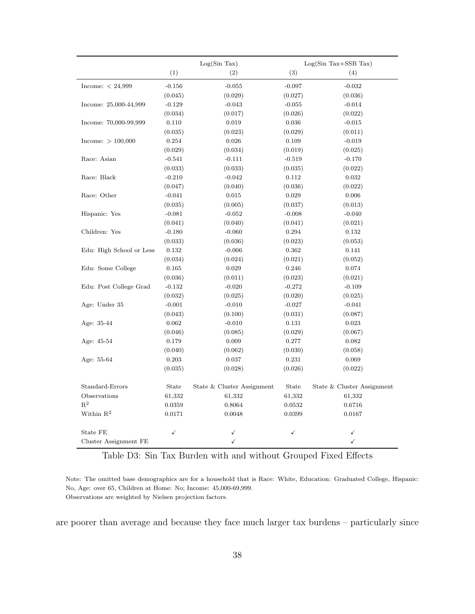<span id="page-38-0"></span>

|                          |          | Log(Sin Tax)               |          | $Log(Sin Tax+SSB Tax)$     |
|--------------------------|----------|----------------------------|----------|----------------------------|
|                          | (1)      | (2)                        | (3)      | (4)                        |
| Income: $< 24,999$       | $-0.156$ | $-0.055$                   | $-0.097$ | $-0.032$                   |
|                          | (0.045)  | (0.029)                    | (0.027)  | (0.036)                    |
| Income: 25,000-44,999    | $-0.129$ | $-0.043$                   | $-0.055$ | $-0.014$                   |
|                          | (0.034)  | (0.017)                    | (0.026)  | (0.022)                    |
| Income: 70,000-99,999    | 0.110    | 0.019                      | 0.036    | $-0.015$                   |
|                          | (0.035)  | (0.023)                    | (0.029)  | (0.011)                    |
| Income: $> 100,000$      | 0.254    | 0.026                      | 0.109    | $-0.019$                   |
|                          | (0.029)  | (0.034)                    | (0.019)  | (0.025)                    |
| Race: Asian              | $-0.541$ | $-0.111$                   | $-0.519$ | $-0.170$                   |
|                          | (0.033)  | (0.033)                    | (0.035)  | (0.022)                    |
| Race: Black              | $-0.210$ | $-0.042$                   | 0.112    | 0.032                      |
|                          | (0.047)  | (0.040)                    | (0.036)  | (0.022)                    |
| Race: Other              | $-0.041$ | 0.015                      | 0.029    | 0.006                      |
|                          | (0.035)  | (0.005)                    | (0.037)  | (0.013)                    |
| Hispanic: Yes            | $-0.081$ | $-0.052$                   | $-0.008$ | $-0.040$                   |
|                          | (0.041)  | (0.040)                    | (0.041)  | (0.021)                    |
| Children: Yes            | $-0.180$ | $-0.060$                   | 0.294    | 0.132                      |
|                          | (0.033)  | (0.036)                    | (0.023)  | (0.053)                    |
| Edu: High School or Less | 0.132    | $-0.006$                   | 0.362    | 0.141                      |
|                          | (0.034)  | (0.024)                    | (0.021)  | (0.052)                    |
| Edu: Some College        | 0.165    | 0.029                      | 0.246    | 0.074                      |
|                          | (0.036)  | (0.011)                    | (0.023)  | (0.021)                    |
| Edu: Post College Grad   | $-0.132$ | $-0.020$                   | $-0.272$ | $-0.109$                   |
|                          | (0.032)  | (0.025)                    | (0.020)  | (0.025)                    |
| Age: Under 35            | $-0.001$ | $-0.010$                   | $-0.027$ | $-0.041$                   |
|                          | (0.043)  | (0.100)                    | (0.031)  | (0.087)                    |
| Age: 35-44               | 0.062    | $-0.010$                   | 0.131    | 0.023                      |
|                          | (0.046)  | (0.085)                    | (0.029)  | (0.067)                    |
| Age: 45-54               | 0.179    | 0.009                      | 0.277    | 0.082                      |
|                          | (0.040)  | (0.062)                    | (0.030)  | (0.058)                    |
| Age: 55-64               | 0.203    | 0.037                      | 0.231    | 0.069                      |
|                          | (0.035)  | (0.028)                    | (0.026)  | (0.022)                    |
| Standard-Errors          | State    | State & Cluster Assignment | State    | State & Cluster Assignment |
| Observations             | 61,332   | 61,332                     | 61,332   | 61,332                     |
| $R^2$                    | 0.0359   | 0.8064                     | 0.0532   | 0.6716                     |
| Within $R^2$             | 0.0171   | 0.0048                     | 0.0399   | 0.0167                     |
| State FE                 | ✓        | ✓                          | ✓        | ✓                          |
| Cluster Assignment FE    |          | ✓                          |          | $\checkmark$               |

Table D3: Sin Tax Burden with and without Grouped Fixed Effects

Note: The omitted base demographics are for a household that is Race: White, Education: Graduated College, Hispanic: No, Age: over 65, Children at Home: No; Income: 45,000-69,999. Observations are weighted by Nielsen projection factors.

are poorer than average and because they face much larger tax burdens – particularly since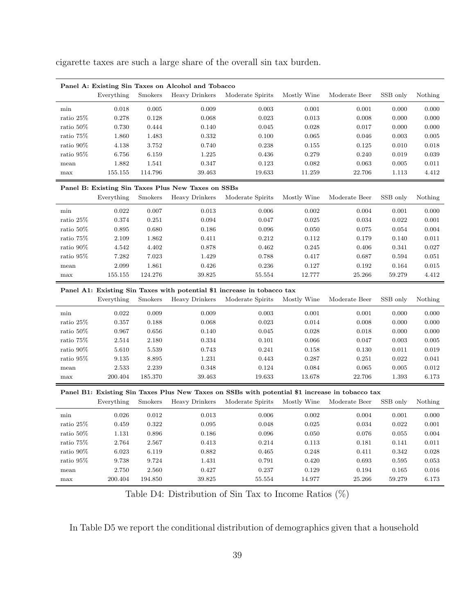cigarette taxes are such a large share of the overall sin tax burden.

<span id="page-39-0"></span>

|            | Panel A: Existing Sin Taxes on Alcohol and Tobacco |                |                |                  |             |               |          |         |  |  |  |
|------------|----------------------------------------------------|----------------|----------------|------------------|-------------|---------------|----------|---------|--|--|--|
|            | Everything                                         | <b>Smokers</b> | Heavy Drinkers | Moderate Spirits | Mostly Wine | Moderate Beer | SSB only | Nothing |  |  |  |
| min        | 0.018                                              | 0.005          | 0.009          | 0.003            | 0.001       | 0.001         | 0.000    | 0.000   |  |  |  |
| ratio 25\% | 0.278                                              | 0.128          | 0.068          | 0.023            | 0.013       | 0.008         | 0.000    | 0.000   |  |  |  |
| ratio 50\% | 0.730                                              | 0.444          | 0.140          | 0.045            | 0.028       | 0.017         | 0.000    | 0.000   |  |  |  |
| ratio 75\% | 1.860                                              | 1.483          | 0.332          | 0.100            | 0.065       | 0.046         | 0.003    | 0.005   |  |  |  |
| ratio 90\% | 4.138                                              | 3.752          | 0.740          | 0.238            | 0.155       | 0.125         | 0.010    | 0.018   |  |  |  |
| ratio 95\% | 6.756                                              | 6.159          | 1.225          | 0.436            | 0.279       | 0.240         | 0.019    | 0.039   |  |  |  |
| mean       | 1.882                                              | 1.541          | 0.347          | 0.123            | 0.082       | 0.063         | 0.005    | 0.011   |  |  |  |
| max        | 155.155                                            | 114.796        | 39.463         | 19.633           | 11.259      | 22.706        | 1.113    | 4.412   |  |  |  |

#### Panel B: Existing Sin Taxes Plus New Taxes on SSBs

|              | Everything | Smokers | Heavy Drinkers | Moderate Spirits | Mostly Wine | Moderate Beer | SSB only | Nothing |
|--------------|------------|---------|----------------|------------------|-------------|---------------|----------|---------|
| min          | 0.022      | 0.007   | 0.013          | 0.006            | 0.002       | 0.004         | 0.001    | 0.000   |
| ratio $25\%$ | 0.374      | 0.251   | 0.094          | 0.047            | 0.025       | 0.034         | 0.022    | 0.001   |
| ratio $50\%$ | 0.895      | 0.680   | 0.186          | 0.096            | 0.050       | 0.075         | 0.054    | 0.004   |
| ratio $75\%$ | 2.109      | 1.862   | 0.411          | 0.212            | 0.112       | 0.179         | 0.140    | 0.011   |
| ratio $90\%$ | 4.542      | 4.402   | 0.878          | 0.462            | 0.245       | 0.406         | 0.341    | 0.027   |
| ratio $95\%$ | 7.282      | 7.023   | 1.429          | 0.788            | 0.417       | 0.687         | 0.594    | 0.051   |
| mean         | 2.099      | 1.861   | 0.426          | 0.236            | 0.127       | 0.192         | 0.164    | 0.015   |
| max          | 155.155    | 124.276 | 39.825         | 55.554           | 12.777      | 25.266        | 59.279   | 4.412   |
|              |            |         |                |                  |             |               |          |         |

#### Panel A1: Existing Sin Taxes with potential \$1 increase in tobacco tax

|              | Everything | <b>Smokers</b> | Heavy Drinkers | Moderate Spirits | Mostly Wine | Moderate Beer | SSB only | Nothing |
|--------------|------------|----------------|----------------|------------------|-------------|---------------|----------|---------|
| min          | 0.022      | 0.009          | 0.009          | 0.003            | 0.001       | 0.001         | 0.000    | 0.000   |
| ratio $25\%$ | 0.357      | 0.188          | 0.068          | 0.023            | 0.014       | 0.008         | 0.000    | 0.000   |
| ratio $50\%$ | 0.967      | 0.656          | 0.140          | 0.045            | 0.028       | 0.018         | 0.000    | 0.000   |
| ratio 75%    | 2.514      | 2.180          | 0.334          | 0.101            | 0.066       | 0.047         | 0.003    | 0.005   |
| ratio 90\%   | 5.610      | 5.539          | 0.743          | 0.241            | 0.158       | 0.130         | 0.011    | 0.019   |
| ratio~95%    | 9.135      | 8.895          | 1.231          | 0.443            | 0.287       | 0.251         | 0.022    | 0.041   |
| mean         | 2.533      | 2.239          | 0.348          | 0.124            | 0.084       | 0.065         | 0.005    | 0.012   |
| max          | 200.404    | 185.370        | 39.463         | 19.633           | 13.678      | 22.706        | 1.393    | 6.173   |

#### Panel B1: Existing Sin Taxes Plus New Taxes on SSBs with potential \$1 increase in tobacco tax

|              | Everything | Smokers | Heavy Drinkers | Moderate Spirits | Mostly Wine | Moderate Beer | SSB only | Nothing |
|--------------|------------|---------|----------------|------------------|-------------|---------------|----------|---------|
| min          | 0.026      | 0.012   | 0.013          | 0.006            | 0.002       | 0.004         | 0.001    | 0.000   |
| ratio 25\%   | 0.459      | 0.322   | 0.095          | 0.048            | 0.025       | 0.034         | 0.022    | 0.001   |
| ratio $50\%$ | 1.131      | 0.896   | 0.186          | 0.096            | 0.050       | 0.076         | 0.055    | 0.004   |
| ratio 75\%   | 2.764      | 2.567   | 0.413          | 0.214            | 0.113       | 0.181         | 0.141    | 0.011   |
| ratio 90\%   | 6.023      | 6.119   | 0.882          | 0.465            | 0.248       | 0.411         | 0.342    | 0.028   |
| ratio $95\%$ | 9.738      | 9.724   | 1.431          | 0.791            | 0.420       | 0.693         | 0.595    | 0.053   |
| mean         | 2.750      | 2.560   | 0.427          | 0.237            | 0.129       | 0.194         | 0.165    | 0.016   |
| max          | 200.404    | 194.850 | 39.825         | 55.554           | 14.977      | 25.266        | 59.279   | 6.173   |

Table D4: Distribution of Sin Tax to Income Ratios (%)

In Table [D5](#page-40-0) we report the conditional distribution of demographics given that a household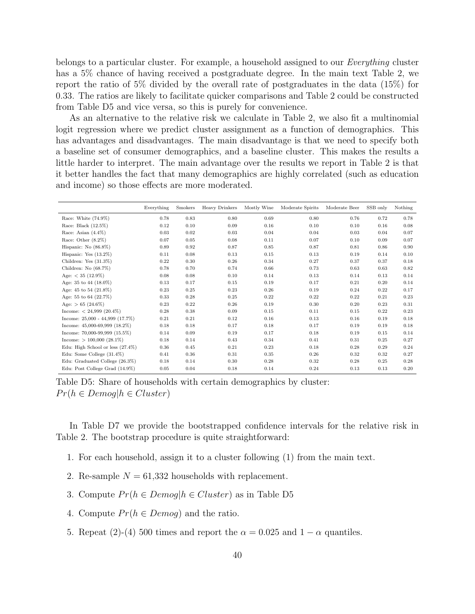belongs to a particular cluster. For example, a household assigned to our Everything cluster has a 5% chance of having received a postgraduate degree. In the main text Table [2,](#page-21-0) we report the ratio of 5% divided by the overall rate of postgraduates in the data (15%) for 0.33. The ratios are likely to facilitate quicker comparisons and Table [2](#page-21-0) could be constructed from Table [D5](#page-40-0) and vice versa, so this is purely for convenience.

As an alternative to the relative risk we calculate in Table [2,](#page-21-0) we also fit a multinomial logit regression where we predict cluster assignment as a function of demographics. This has advantages and disadvantages. The main disadvantage is that we need to specify both a baseline set of consumer demographics, and a baseline cluster. This makes the results a little harder to interpret. The main advantage over the results we report in Table [2](#page-21-0) is that it better handles the fact that many demographics are highly correlated (such as education and income) so those effects are more moderated.

<span id="page-40-0"></span>

|                                    | Everything | <b>Smokers</b> | Heavy Drinkers | Mostly Wine | Moderate Spirits | Moderate Beer | SSB only | Nothing |
|------------------------------------|------------|----------------|----------------|-------------|------------------|---------------|----------|---------|
| Race: White $(74.9\%)$             | 0.78       | 0.83           | 0.80           | 0.69        | 0.80             | 0.76          | 0.72     | 0.78    |
| Race: Black (12.5%)                | 0.12       | 0.10           | 0.09           | 0.16        | 0.10             | 0.10          | 0.16     | 0.08    |
| Race: Asian $(4.4\%)$              | 0.03       | 0.02           | 0.03           | 0.04        | 0.04             | 0.03          | 0.04     | 0.07    |
| Race: Other $(8.2\%)$              | 0.07       | 0.05           | 0.08           | 0.11        | 0.07             | 0.10          | 0.09     | 0.07    |
| Hispanic: No $(86.8\%)$            | 0.89       | 0.92           | 0.87           | 0.85        | 0.87             | 0.81          | 0.86     | 0.90    |
| Hispanic: Yes $(13.2\%)$           | 0.11       | 0.08           | 0.13           | 0.15        | 0.13             | 0.19          | 0.14     | 0.10    |
| Children: Yes $(31.3\%)$           | 0.22       | 0.30           | 0.26           | 0.34        | 0.27             | 0.37          | 0.37     | 0.18    |
| Children: No $(68.7%)$             | 0.78       | 0.70           | 0.74           | 0.66        | 0.73             | 0.63          | 0.63     | 0.82    |
| Age: $<$ 35 (12.9%)                | 0.08       | 0.08           | 0.10           | 0.14        | 0.13             | 0.14          | 0.13     | 0.14    |
| Age: 35 to 44 $(18.0\%)$           | 0.13       | 0.17           | 0.15           | 0.19        | 0.17             | 0.21          | 0.20     | 0.14    |
| Age: 45 to 54 (21.8%)              | 0.23       | 0.25           | 0.23           | 0.26        | 0.19             | 0.24          | 0.22     | 0.17    |
| Age: 55 to 64 (22.7%)              | 0.33       | 0.28           | 0.25           | 0.22        | 0.22             | 0.22          | 0.21     | 0.23    |
| Age: $> 65$ (24.6%)                | 0.23       | 0.22           | 0.26           | 0.19        | 0.30             | 0.20          | 0.23     | 0.31    |
| Income: $< 24,999$ (20.4%)         | 0.28       | 0.38           | 0.09           | 0.15        | 0.11             | 0.15          | 0.22     | 0.23    |
| Income: $25,000 - 44,999$ (17.7%)  | 0.21       | 0.21           | 0.12           | 0.16        | 0.13             | 0.16          | 0.19     | 0.18    |
| Income: $45,000-69,999$ $(18.2\%)$ | 0.18       | 0.18           | 0.17           | 0.18        | 0.17             | 0.19          | 0.19     | 0.18    |
| Income: $70,000-99,999$ $(15.5\%)$ | 0.14       | 0.09           | 0.19           | 0.17        | 0.18             | 0.19          | 0.15     | 0.14    |
| Income: $> 100,000$ (28.1%)        | 0.18       | 0.14           | 0.43           | 0.34        | 0.41             | 0.31          | 0.25     | 0.27    |
| Edu: High School or less (27.4%)   | 0.36       | 0.45           | 0.21           | 0.23        | 0.18             | 0.28          | 0.29     | 0.24    |
| Edu: Some College $(31.4\%)$       | 0.41       | 0.36           | 0.31           | 0.35        | 0.26             | 0.32          | 0.32     | 0.27    |
| Edu: Graduated College (26.3%)     | 0.18       | 0.14           | 0.30           | 0.28        | 0.32             | 0.28          | 0.25     | 0.28    |
| Edu: Post College Grad (14.9%)     | 0.05       | 0.04           | 0.18           | 0.14        | 0.24             | 0.13          | 0.13     | 0.20    |

Table D5: Share of households with certain demographics by cluster:  $Pr(h \in Demog | h \in Cluster)$ 

In Table [D7](#page-42-1) we provide the bootstrapped confidence intervals for the relative risk in Table [2.](#page-21-0) The bootstrap procedure is quite straightforward:

- 1. For each household, assign it to a cluster following [\(1\)](#page-10-2) from the main text.
- 2. Re-sample  $N = 61,332$  households with replacement.
- 3. Compute  $Pr(h \in Demog | h \in Cluster)$  as in Table [D5](#page-40-0)
- 4. Compute  $Pr(h \in Demog)$  and the ratio.
- 5. Repeat (2)-(4) 500 times and report the  $\alpha = 0.025$  and  $1 \alpha$  quantiles.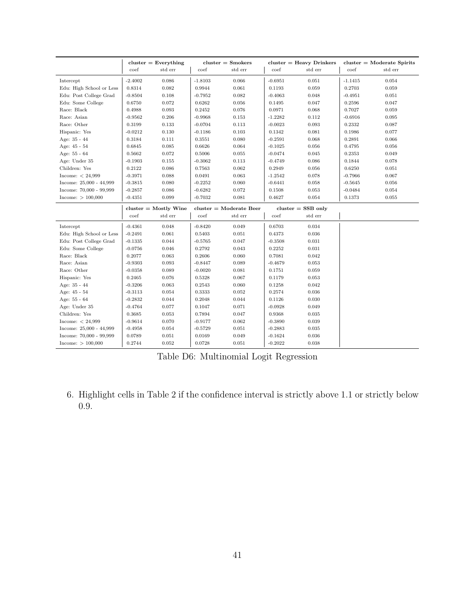|                           |           | $cluster = Every thing$        |                         | $cluster =$ Smokers |           | $cluster = Heavy$ Drinkers |           | $cluster = Modern$ Spirits |
|---------------------------|-----------|--------------------------------|-------------------------|---------------------|-----------|----------------------------|-----------|----------------------------|
|                           | coef      | std err                        | coef                    | std err             | coef      | std err                    | coef      | std err                    |
| Intercept                 | $-2.4002$ | 0.086                          | $-1.8103$               | 0.066               | $-0.6951$ | 0.051                      | $-1.1415$ | 0.054                      |
| Edu: High School or Less  | 0.8314    | 0.082                          | 0.9944                  | 0.061               | 0.1193    | 0.059                      | 0.2703    | 0.059                      |
| Edu: Post College Grad    | $-0.8504$ | 0.108                          | $-0.7952$               | 0.082               | $-0.4063$ | 0.048                      | $-0.4951$ | 0.051                      |
| Edu: Some College         | 0.6750    | 0.072                          | 0.6262                  | $\,0.056\,$         | 0.1495    | 0.047                      | 0.2596    | 0.047                      |
| Race: Black               | 0.4988    | 0.093                          | 0.2452                  | 0.076               | 0.0971    | 0.068                      | 0.7027    | 0.059                      |
| Race: Asian               | $-0.9562$ | 0.206                          | $-0.9968$               | 0.153               | $-1.2282$ | 0.112                      | $-0.6916$ | 0.095                      |
| Race: Other               | 0.3199    | 0.133                          | $-0.0704$               | 0.113               | $-0.0023$ | 0.093                      | 0.2332    | 0.087                      |
| Hispanic: Yes             | $-0.0212$ | $0.130\,$                      | $-0.1186$               | 0.103               | 0.1342    | 0.081                      | 0.1986    | 0.077                      |
| Age: 35 - 44              | 0.3184    | 0.111                          | 0.3551                  | 0.080               | $-0.2591$ | 0.068                      | 0.2891    | 0.066                      |
| Age: 45 - 54              | 0.6845    | 0.085                          | 0.6626                  | $\,0.064\,$         | $-0.1025$ | 0.056                      | 0.4795    | 0.056                      |
| Age: 55 - 64              | 0.5662    | 0.072                          | 0.5006                  | 0.055               | $-0.0474$ | 0.045                      | 0.2353    | 0.049                      |
| Age: Under 35             | $-0.1903$ | 0.155                          | $-0.3062$               | 0.113               | $-0.4749$ | 0.086                      | 0.1844    | 0.078                      |
| Children: Yes             | 0.2122    | 0.086                          | 0.7563                  | 0.062               | 0.2949    | 0.056                      | 0.6250    | 0.051                      |
| Income: $< 24,999$        | $-0.3971$ | 0.088                          | 0.0491                  | 0.063               | $-1.2542$ | 0.078                      | $-0.7966$ | 0.067                      |
| Income: 25,000 - 44,999   | $-0.3815$ | 0.080                          | $-0.2252$               | 0.060               | $-0.6441$ | 0.058                      | $-0.5645$ | 0.056                      |
| Income: 70,000 - 99,999   | $-0.2857$ | 0.086                          | $-0.6282$               | 0.072               | 0.1508    | 0.053                      | $-0.0484$ | 0.054                      |
| Income: > 100,000         | $-0.4351$ | 0.099                          | $-0.7032$               | 0.081               | 0.4627    | 0.054                      | 0.1373    | 0.055                      |
|                           |           | $cluster = \text{Mostly}$ Wine | $cluster = Modern$ Beer |                     |           | $cluster = SSB$ only       |           |                            |
|                           | coef      | std err                        | coef                    | std err             | coef      | std err                    |           |                            |
| Intercept                 | $-0.4361$ | 0.048                          | $-0.8420$               | 0.049               | 0.6703    | 0.034                      |           |                            |
| Edu: High School or Less  | $-0.2491$ | 0.061                          | 0.5403                  | 0.051               | 0.4373    | 0.036                      |           |                            |
| Edu: Post College Grad    | $-0.1335$ | 0.044                          | $-0.5765$               | 0.047               | $-0.3508$ | 0.031                      |           |                            |
| Edu: Some College         | $-0.0756$ | 0.046                          | 0.2792                  | 0.043               | 0.2252    | 0.031                      |           |                            |
| Race: Black               | 0.2077    | 0.063                          | 0.2606                  | 0.060               | 0.7081    | 0.042                      |           |                            |
| Race: Asian               | $-0.9303$ | 0.093                          | $-0.8447$               | 0.089               | $-0.4679$ | 0.053                      |           |                            |
| Race: Other               | $-0.0358$ | 0.089                          | $-0.0020$               | 0.081               | 0.1751    | 0.059                      |           |                            |
| Hispanic: Yes             | 0.2465    | 0.076                          | 0.5328                  | 0.067               | 0.1179    | 0.053                      |           |                            |
| Age: 35 - 44              | $-0.3206$ | 0.063                          | 0.2543                  | 0.060               | 0.1258    | 0.042                      |           |                            |
| Age: 45 - 54              | $-0.3113$ | 0.054                          | 0.3333                  | $\,0.052\,$         | 0.2574    | 0.036                      |           |                            |
| Age: 55 - 64              | $-0.2832$ | 0.044                          | 0.2048                  | 0.044               | 0.1126    | 0.030                      |           |                            |
| Age: Under 35             | $-0.4764$ | 0.077                          | 0.1047                  | 0.071               | $-0.0928$ | 0.049                      |           |                            |
| Children: Yes             | 0.3685    | 0.053                          | 0.7894                  | 0.047               | 0.9368    | 0.035                      |           |                            |
| Income: $< 24,999$        | $-0.9614$ | 0.070                          | $-0.9177$               | 0.062               | $-0.3890$ | 0.039                      |           |                            |
| Income: $25,000 - 44,999$ | $-0.4958$ | 0.054                          | $-0.5729$               | 0.051               | $-0.2883$ | 0.035                      |           |                            |
| Income: 70,000 - 99,999   | 0.0789    | 0.051                          | 0.0169                  | 0.049               | $-0.1624$ | 0.036                      |           |                            |
| Income: $> 100,000$       | 0.2744    | 0.052                          | 0.0728                  | 0.051               | $-0.2022$ | 0.038                      |           |                            |

Table D6: Multinomial Logit Regression

6. Highlight cells in Table [2](#page-21-0) if the confidence interval is strictly above 1.1 or strictly below 0.9.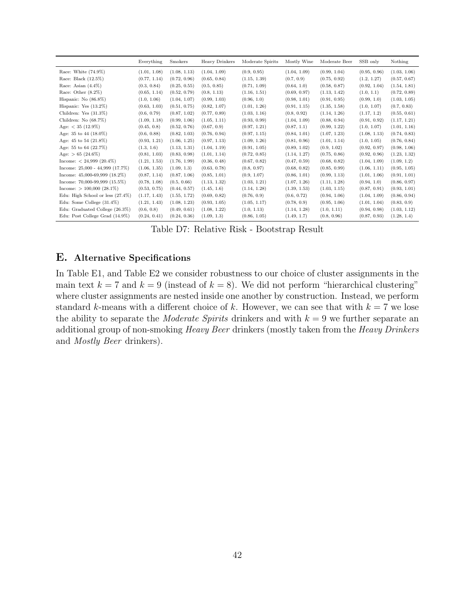<span id="page-42-1"></span>

|                                     | Everything   | Smokers      | <b>Heavy Drinkers</b> | Moderate Spirits | Mostly Wine  | Moderate Beer | SSB only     | Nothing      |
|-------------------------------------|--------------|--------------|-----------------------|------------------|--------------|---------------|--------------|--------------|
| Race: White $(74.9\%)$              | (1.01, 1.08) | (1.08, 1.13) | (1.04, 1.09)          | (0.9, 0.95)      | (1.04, 1.09) | (0.99, 1.04)  | (0.95, 0.96) | (1.03, 1.06) |
| Race: Black $(12.5\%)$              | (0.77, 1.14) | (0.72, 0.96) | (0.65, 0.84)          | (1.15, 1.39)     | (0.7, 0.9)   | (0.75, 0.92)  | (1.2, 1.27)  | (0.57, 0.67) |
| Race: Asian $(4.4\%)$               | (0.3, 0.84)  | (0.25, 0.55) | (0.5, 0.85)           | (0.71, 1.09)     | (0.64, 1.0)  | (0.58, 0.87)  | (0.92, 1.04) | (1.54, 1.81) |
| Race: Other $(8.2\%)$               | (0.65, 1.14) | (0.52, 0.79) | (0.8, 1.13)           | (1.16, 1.51)     | (0.69, 0.97) | (1.13, 1.42)  | (1.0, 1.1)   | (0.72, 0.89) |
| Hispanic: No $(86.8\%)$             | (1.0, 1.06)  | (1.04, 1.07) | (0.99, 1.03)          | (0.96, 1.0)      | (0.98, 1.01) | (0.91, 0.95)  | (0.99, 1.0)  | (1.03, 1.05) |
| Hispanic: Yes $(13.2\%)$            | (0.63, 1.03) | (0.51, 0.75) | (0.82, 1.07)          | (1.01, 1.26)     | (0.91, 1.15) | (1.35, 1.58)  | (1.0, 1.07)  | (0.7, 0.83)  |
| Children: Yes $(31.3\%)$            | (0.6, 0.79)  | (0.87, 1.02) | (0.77, 0.89)          | (1.03, 1.16)     | (0.8, 0.92)  | (1.14, 1.26)  | (1.17, 1.2)  | (0.55, 0.61) |
| Children: No (68.7%)                | (1.09, 1.18) | (0.99, 1.06) | (1.05, 1.11)          | (0.93, 0.99)     | (1.04, 1.09) | (0.88, 0.94)  | (0.91, 0.92) | (1.17, 1.21) |
| Age: $< 35$ (12.9%)                 | (0.45, 0.8)  | (0.52, 0.76) | (0.67, 0.9)           | (0.97, 1.21)     | (0.87, 1.1)  | (0.99, 1.22)  | (1.0, 1.07)  | (1.01, 1.16) |
| Age: 35 to 44 $(18.0\%)$            | (0.6, 0.88)  | (0.82, 1.03) | (0.76, 0.94)          | (0.97, 1.15)     | (0.84, 1.01) | (1.07, 1.23)  | (1.08, 1.13) | (0.74, 0.83) |
| Age: 45 to 54 $(21.8\%)$            | (0.93, 1.21) | (1.06, 1.25) | (0.97, 1.13)          | (1.09, 1.26)     | (0.81, 0.96) | (1.01, 1.14)  | (1.0, 1.05)  | (0.76, 0.84) |
| Age: 55 to 64 (22.7%)               | (1.3, 1.6)   | (1.13, 1.31) | (1.04, 1.19)          | (0.91, 1.05)     | (0.89, 1.02) | (0.9, 1.02)   | (0.92, 0.97) | (0.98, 1.06) |
| Age: $> 65$ (24.6%)                 | (0.81, 1.03) | (0.83, 0.98) | (1.01, 1.14)          | (0.72, 0.85)     | (1.14, 1.27) | (0.75, 0.86)  | (0.92, 0.96) | (1.23, 1.32) |
| Income: $< 24,999$ (20.4%)          | (1.21, 1.53) | (1.76, 1.99) | (0.36, 0.48)          | (0.67, 0.82)     | (0.47, 0.59) | (0.68, 0.82)  | (1.04, 1.09) | (1.09, 1.2)  |
| Income: $25,000 - 44,999$ (17.7%)   | (1.06, 1.35) | (1.09, 1.3)  | (0.63, 0.78)          | (0.8, 0.97)      | (0.68, 0.82) | (0.85, 0.99)  | (1.06, 1.11) | (0.95, 1.05) |
| Income: $45,000-69,999$ $(18.2\%)$  | (0.87, 1.14) | (0.87, 1.06) | (0.85, 1.01)          | (0.9, 1.07)      | (0.86, 1.01) | (0.99, 1.13)  | (1.01, 1.06) | (0.91, 1.01) |
| Income: $70,000-99,999$ $(15.5\%)$  | (0.78, 1.08) | (0.5, 0.66)  | (1.13, 1.32)          | (1.03, 1.21)     | (1.07, 1.26) | (1.11, 1.28)  | (0.94, 1.0)  | (0.86, 0.97) |
| Income: $> 100,000$ (28.1%)         | (0.53, 0.75) | (0.44, 0.57) | (1.45, 1.6)           | (1.14, 1.28)     | (1.39, 1.53) | (1.03, 1.15)  | (0.87, 0.91) | (0.93, 1.01) |
| Edu: High School or less $(27.4\%)$ | (1.17, 1.43) | (1.55, 1.72) | (0.69, 0.82)          | (0.76, 0.9)      | (0.6, 0.72)  | (0.94, 1.06)  | (1.04, 1.09) | (0.86, 0.94) |
| Edu: Some College $(31.4\%)$        | (1.21, 1.43) | (1.08, 1.23) | (0.93, 1.05)          | (1.05, 1.17)     | (0.78, 0.9)  | (0.95, 1.06)  | (1.01, 1.04) | (0.83, 0.9)  |
| Edu: Graduated College (26.3%)      | (0.6, 0.8)   | (0.49, 0.61) | (1.08, 1.22)          | (1.0, 1.13)      | (1.14, 1.28) | (1.0, 1.11)   | (0.94, 0.98) | (1.03, 1.12) |
| Edu: Post College Grad (14.9%)      | (0.24, 0.41) | (0.24, 0.36) | (1.09, 1.3)           | (0.86, 1.05)     | (1.49, 1.7)  | (0.8, 0.96)   | (0.87, 0.93) | (1.28, 1.4)  |

Table D7: Relative Risk - Bootstrap Result

## <span id="page-42-0"></span>E. Alternative Specifications

In Table [E1,](#page-43-0) and Table [E2](#page-44-0) we consider robustness to our choice of cluster assignments in the main text  $k = 7$  and  $k = 9$  (instead of  $k = 8$ ). We did not perform "hierarchical clustering" where cluster assignments are nested inside one another by construction. Instead, we perform standard k-means with a different choice of k. However, we can see that with  $k = 7$  we lose the ability to separate the *Moderate Spirits* drinkers and with  $k = 9$  we further separate an additional group of non-smoking *Heavy Beer* drinkers (mostly taken from the *Heavy Drinkers* and Mostly Beer drinkers).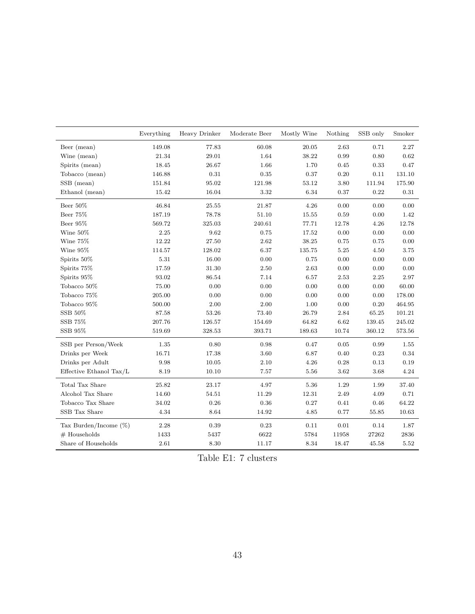<span id="page-43-0"></span>

|                          | Everything | Heavy Drinker | Moderate Beer | Mostly Wine | Nothing    | SSB only | Smoker     |
|--------------------------|------------|---------------|---------------|-------------|------------|----------|------------|
| Beer (mean)              | 149.08     | 77.83         | 60.08         | 20.05       | 2.63       | 0.71     | 2.27       |
| Wine (mean)              | $21.34\,$  | 29.01         | 1.64          | 38.22       | 0.99       | 0.80     | 0.62       |
| Spirits (mean)           | 18.45      | 26.67         | 1.66          | 1.70        | 0.45       | 0.33     | 0.47       |
| Tobacco (mean)           | 146.88     | 0.31          | 0.35          | 0.37        | 0.20       | 0.11     | 131.10     |
| SSB (mean)               | 151.84     | 95.02         | 121.98        | 53.12       | 3.80       | 111.94   | 175.90     |
| Ethanol (mean)           | 15.42      | 16.04         | 3.32          | 6.34        | 0.37       | 0.22     | 0.31       |
| Beer $50\%$              | 46.84      | 25.55         | 21.87         | 4.26        | 0.00       | 0.00     | 0.00       |
| Beer 75%                 | 187.19     | 78.78         | 51.10         | 15.55       | $\rm 0.59$ | 0.00     | 1.42       |
| Beer 95%                 | 569.72     | 325.03        | 240.61        | 77.71       | 12.78      | 4.26     | 12.78      |
| Wine 50%                 | 2.25       | 9.62          | 0.75          | 17.52       | 0.00       | 0.00     | 0.00       |
| Wine 75%                 | 12.22      | 27.50         | 2.62          | 38.25       | 0.75       | 0.75     | 0.00       |
| Wine 95%                 | 114.57     | 128.02        | 6.37          | 135.75      | 5.25       | 4.50     | 3.75       |
| Spirits 50%              | 5.31       | 16.00         | 0.00          | 0.75        | 0.00       | 0.00     | 0.00       |
| Spirits 75%              | 17.59      | 31.30         | $2.50\,$      | 2.63        | 0.00       | 0.00     | $0.00\,$   |
| Spirits 95%              | 93.02      | 86.54         | 7.14          | 6.57        | 2.53       | 2.25     | 2.97       |
| Tobacco 50%              | 75.00      | 0.00          | 0.00          | 0.00        | 0.00       | 0.00     | 60.00      |
| Tobacco 75%              | 205.00     | 0.00          | 0.00          | 0.00        | 0.00       | 0.00     | 178.00     |
| Tobacco 95%              | 500.00     | 2.00          | $2.00\,$      | 1.00        | 0.00       | $0.20\,$ | 464.95     |
| SSB 50%                  | 87.58      | 53.26         | 73.40         | 26.79       | 2.84       | 65.25    | 101.21     |
| ${\rm SSB}$ ${\rm 75\%}$ | 207.76     | 126.57        | 154.69        | 64.82       | 6.62       | 139.45   | $245.02\,$ |
| ${\rm SSB}$ $95\%$       | 519.69     | 328.53        | 393.71        | 189.63      | 10.74      | 360.12   | 573.56     |
| SSB per Person/Week      | 1.35       | 0.80          | 0.98          | 0.47        | 0.05       | 0.99     | 1.55       |
| Drinks per Week          | 16.71      | 17.38         | 3.60          | 6.87        | 0.40       | 0.23     | 0.34       |
| Drinks per Adult         | 9.98       | 10.05         | 2.10          | 4.26        | 0.28       | 0.13     | 0.19       |
| Effective Ethanol Tax/L  | 8.19       | 10.10         | 7.57          | 5.56        | 3.62       | 3.68     | 4.24       |
| Total Tax Share          | 25.82      | 23.17         | 4.97          | 5.36        | 1.29       | 1.99     | 37.40      |
| Alcohol Tax Share        | 14.60      | 54.51         | 11.29         | 12.31       | 2.49       | 4.09     | 0.71       |
| Tobacco Tax Share        | 34.02      | $\rm 0.26$    | $0.36\,$      | 0.27        | 0.41       | 0.46     | 64.22      |
| SSB Tax Share            | 4.34       | 8.64          | 14.92         | 4.85        | 0.77       | 55.85    | 10.63      |
| Tax Burden/Income $(\%)$ | 2.28       | 0.39          | 0.23          | 0.11        | 0.01       | 0.14     | 1.87       |
| $#$ Households           | 1433       | 5437          | 6622          | 5784        | 11958      | 27262    | 2836       |
| Share of Households      | 2.61       | 8.30          | 11.17         | 8.34        | 18.47      | 45.58    | 5.52       |

Table E1: 7 clusters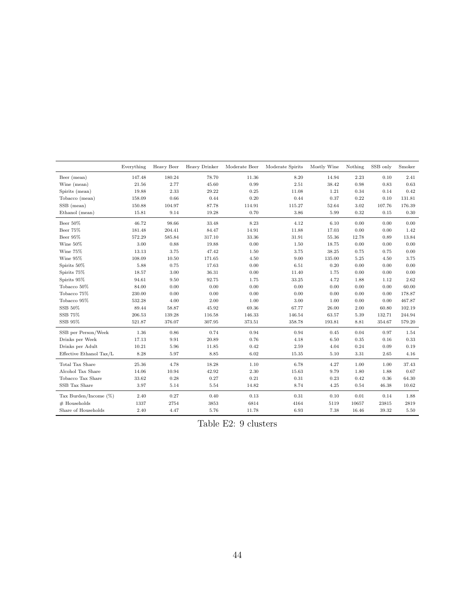<span id="page-44-0"></span>

|                          | Everything           | Heavy Beer | Heavy Drinker | Moderate Beer | Moderate Spirits | Mostly Wine | Nothing  | SSB only | Smoker     |
|--------------------------|----------------------|------------|---------------|---------------|------------------|-------------|----------|----------|------------|
| Beer (mean)              | 147.48               | 180.24     | 78.70         | 11.36         | 8.20             | 14.94       | 2.23     | 0.10     | 2.41       |
| Wine (mean)              | 21.56                | 2.77       | 45.60         | 0.99          | 2.51             | 38.42       | 0.98     | 0.83     | 0.63       |
| Spirits (mean)           | 19.88                | 2.33       | 29.22         | 0.25          | 11.08            | $1.21\,$    | 0.34     | 0.14     | 0.42       |
| Tobacco (mean)           | 158.09               | 0.66       | 0.44          | 0.20          | 0.44             | 0.37        | 0.22     | 0.10     | 131.81     |
| SSB (mean)               | 150.88               | 104.97     | 87.78         | 114.91        | 115.27           | 52.64       | $3.02\,$ | 107.76   | 176.39     |
| Ethanol (mean)           | 15.81                | 9.14       | 19.28         | 0.70          | 3.86             | 5.99        | 0.32     | 0.15     | $\rm 0.30$ |
| Beer 50%                 | 46.72                | 98.66      | 33.48         | 8.23          | 4.12             | 6.10        | 0.00     | 0.00     | 0.00       |
| Beer 75%                 | 181.48               | 204.41     | 84.47         | 14.91         | 11.88            | 17.03       | 0.00     | 0.00     | 1.42       |
| Beer 95%                 | 572.29               | 585.84     | 317.10        | 33.36         | 31.91            | 55.36       | 12.78    | 0.89     | 13.84      |
| Wine $50\%$              | 3.00                 | 0.88       | 19.88         | 0.00          | 1.50             | 18.75       | 0.00     | 0.00     | 0.00       |
| Wine 75%                 | 13.13                | 3.75       | 47.42         | 1.50          | 3.75             | 38.25       | 0.75     | 0.75     | 0.00       |
| Wine 95%                 | 108.09               | 10.50      | 171.65        | 4.50          | 9.00             | 135.00      | 5.25     | 4.50     | 3.75       |
| Spirits 50%              | 5.88                 | 0.75       | 17.63         | 0.00          | 6.51             | 0.20        | 0.00     | 0.00     | 0.00       |
| Spirits 75%              | 18.57                | 3.00       | 36.31         | 0.00          | 11.40            | 1.75        | 0.00     | 0.00     | 0.00       |
| Spirits 95%              | 94.61                | 9.50       | 92.75         | 1.75          | 33.25            | 4.72        | 1.88     | 1.12     | 2.62       |
| Tobacco 50%              | 84.00                | 0.00       | 0.00          | 0.00          | 0.00             | $0.00\,$    | 0.00     | 0.00     | 60.00      |
| Tobacco 75%              | 230.00               | 0.00       | 0.00          | 0.00          | 0.00             | 0.00        | 0.00     | 0.00     | 178.87     |
| Tobacco 95%              | 532.28               | 4.00       | 2.00          | 1.00          | 3.00             | 1.00        | 0.00     | 0.00     | 467.87     |
| SSB 50%                  | 89.44                | 58.87      | 45.92         | 69.36         | 67.77            | 26.00       | $2.00\,$ | 60.80    | 102.19     |
| SSB 75%                  | $\hphantom{0}206.53$ | 139.28     | 116.58        | 146.33        | 146.54           | 63.57       | $5.39\,$ | 132.71   | 244.94     |
| SSB 95%                  | 521.87               | 376.07     | 307.95        | 373.51        | 358.78           | 193.81      | 8.81     | 354.67   | 579.20     |
| SSB per Person/Week      | 1.36                 | 0.86       | 0.74          | 0.94          | 0.94             | 0.45        | 0.04     | 0.97     | 1.54       |
| Drinks per Week          | 17.13                | 9.91       | 20.89         | 0.76          | 4.18             | 6.50        | 0.35     | 0.16     | 0.33       |
| Drinks per Adult         | 10.21                | 5.96       | 11.85         | 0.42          | 2.59             | 4.04        | 0.24     | 0.09     | 0.19       |
| Effective Ethanol Tax/L  | 8.28                 | 5.97       | 8.85          | 6.02          | 15.35            | 5.10        | 3.31     | 2.65     | 4.16       |
| Total Tax Share          | 25.36                | 4.78       | 18.28         | 1.10          | 6.78             | 4.27        | 1.00     | 1.00     | 37.43      |
| Alcohol Tax Share        | 14.06                | 10.94      | 42.92         | 2.30          | 15.63            | 9.79        | 1.80     | 1.88     | 0.67       |
| Tobacco Tax Share        | 33.62                | 0.28       | 0.27          | 0.21          | 0.31             | 0.23        | 0.42     | 0.36     | 64.30      |
| SSB Tax Share            | 3.97                 | 5.14       | 5.54          | 14.82         | 8.74             | 4.25        | 0.54     | 46.38    | 10.62      |
| Tax Burden/Income $(\%)$ | 2.40                 | 0.27       | 0.40          | 0.13          | 0.31             | 0.10        | 0.01     | 0.14     | 1.88       |
| $#$ Households           | 1337                 | 2754       | 3853          | 6814          | 4164             | 5119        | 10657    | 23815    | 2819       |
| Share of Households      | 2.40                 | 4.47       | 5.76          | 11.78         | 6.93             | 7.38        | 16.46    | 39.32    | 5.50       |

Table E2: 9 clusters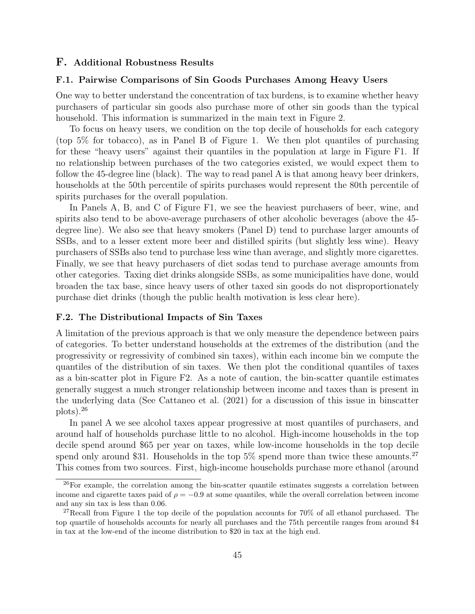#### F. Additional Robustness Results

#### F.1. Pairwise Comparisons of Sin Goods Purchases Among Heavy Users

One way to better understand the concentration of tax burdens, is to examine whether heavy purchasers of particular sin goods also purchase more of other sin goods than the typical household. This information is summarized in the main text in Figure [2.](#page-19-0)

To focus on heavy users, we condition on the top decile of households for each category (top 5% for tobacco), as in Panel B of Figure [1.](#page-18-0) We then plot quantiles of purchasing for these "heavy users" against their quantiles in the population at large in Figure [F1.](#page-46-0) If no relationship between purchases of the two categories existed, we would expect them to follow the 45-degree line (black). The way to read panel A is that among heavy beer drinkers, households at the 50th percentile of spirits purchases would represent the 80th percentile of spirits purchases for the overall population.

In Panels A, B, and C of Figure [F1,](#page-46-0) we see the heaviest purchasers of beer, wine, and spirits also tend to be above-average purchasers of other alcoholic beverages (above the 45 degree line). We also see that heavy smokers (Panel D) tend to purchase larger amounts of SSBs, and to a lesser extent more beer and distilled spirits (but slightly less wine). Heavy purchasers of SSBs also tend to purchase less wine than average, and slightly more cigarettes. Finally, we see that heavy purchasers of diet sodas tend to purchase average amounts from other categories. Taxing diet drinks alongside SSBs, as some municipalities have done, would broaden the tax base, since heavy users of other taxed sin goods do not disproportionately purchase diet drinks (though the public health motivation is less clear here).

#### F.2. The Distributional Impacts of Sin Taxes

A limitation of the previous approach is that we only measure the dependence between pairs of categories. To better understand households at the extremes of the distribution (and the progressivity or regressivity of combined sin taxes), within each income bin we compute the quantiles of the distribution of sin taxes. We then plot the conditional quantiles of taxes as a bin-scatter plot in Figure [F2.](#page-49-0) As a note of caution, the bin-scatter quantile estimates generally suggest a much stronger relationship between income and taxes than is present in the underlying data (See [Cattaneo et al.](#page-23-13) [\(2021\)](#page-23-13) for a discussion of this issue in binscatter plots).[26](#page-45-0)

In panel A we see alcohol taxes appear progressive at most quantiles of purchasers, and around half of households purchase little to no alcohol. High-income households in the top decile spend around \$65 per year on taxes, while low-income households in the top decile spend only around \$31. Households in the top  $5\%$  spend more than twice these amounts.<sup>[27](#page-45-1)</sup> This comes from two sources. First, high-income households purchase more ethanol (around

<span id="page-45-0"></span><sup>&</sup>lt;sup>26</sup>For example, the correlation among the bin-scatter quantile estimates suggests a correlation between income and cigarette taxes paid of  $\rho = -0.9$  at some quantiles, while the overall correlation between income and any sin tax is less than 0.06.

<span id="page-45-1"></span><sup>&</sup>lt;sup>27</sup>Recall from Figure [1](#page-18-0) the top decile of the population accounts for  $70\%$  of all ethanol purchased. The top quartile of households accounts for nearly all purchases and the 75th percentile ranges from around \$4 in tax at the low-end of the income distribution to \$20 in tax at the high end.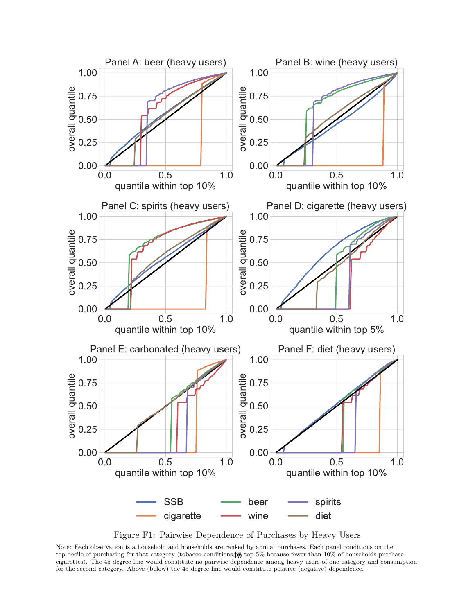<span id="page-46-0"></span>

Figure F1: Pairwise Dependence of Purchases by Heavy Users

Note: Each observation is a household and households are ranked by annual purchases. Each panel conditions on the top-decile of purchasing for that category (tobacco conditions $\frac{1}{6}$  top 5% because fewer than 10% of households purchase cigarettes). The 45 degree line would constitute no pairwise dependence among heavy users of one category and consumption for the second category. Above (below) the 45 degree line would constitute positive (negative) dependence.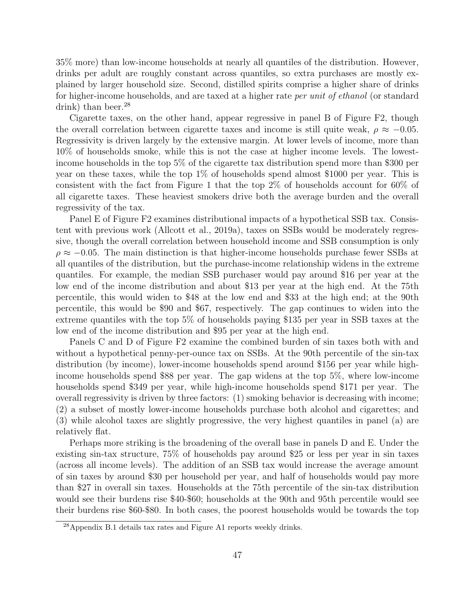35% more) than low-income households at nearly all quantiles of the distribution. However, drinks per adult are roughly constant across quantiles, so extra purchases are mostly explained by larger household size. Second, distilled spirits comprise a higher share of drinks for higher-income households, and are taxed at a higher rate per unit of ethanol (or standard drink) than beer.<sup>[28](#page-47-0)</sup>

Cigarette taxes, on the other hand, appear regressive in panel B of Figure [F2,](#page-49-0) though the overall correlation between cigarette taxes and income is still quite weak,  $\rho \approx -0.05$ . Regressivity is driven largely by the extensive margin. At lower levels of income, more than 10% of households smoke, while this is not the case at higher income levels. The lowestincome households in the top 5% of the cigarette tax distribution spend more than \$300 per year on these taxes, while the top 1% of households spend almost \$1000 per year. This is consistent with the fact from Figure [1](#page-18-0) that the top 2% of households account for 60% of all cigarette taxes. These heaviest smokers drive both the average burden and the overall regressivity of the tax.

Panel E of Figure [F2](#page-49-0) examines distributional impacts of a hypothetical SSB tax. Consistent with previous work [\(Allcott et al., 2019a\)](#page-23-1), taxes on SSBs would be moderately regressive, though the overall correlation between household income and SSB consumption is only  $\rho \approx -0.05$ . The main distinction is that higher-income households purchase fewer SSBs at all quantiles of the distribution, but the purchase-income relationship widens in the extreme quantiles. For example, the median SSB purchaser would pay around \$16 per year at the low end of the income distribution and about \$13 per year at the high end. At the 75th percentile, this would widen to \$48 at the low end and \$33 at the high end; at the 90th percentile, this would be \$90 and \$67, respectively. The gap continues to widen into the extreme quantiles with the top 5% of households paying \$135 per year in SSB taxes at the low end of the income distribution and \$95 per year at the high end.

Panels C and D of Figure [F2](#page-49-0) examine the combined burden of sin taxes both with and without a hypothetical penny-per-ounce tax on SSBs. At the 90th percentile of the sin-tax distribution (by income), lower-income households spend around \$156 per year while highincome households spend \$88 per year. The gap widens at the top 5%, where low-income households spend \$349 per year, while high-income households spend \$171 per year. The overall regressivity is driven by three factors: (1) smoking behavior is decreasing with income; (2) a subset of mostly lower-income households purchase both alcohol and cigarettes; and (3) while alcohol taxes are slightly progressive, the very highest quantiles in panel (a) are relatively flat.

Perhaps more striking is the broadening of the overall base in panels D and E. Under the existing sin-tax structure, 75% of households pay around \$25 or less per year in sin taxes (across all income levels). The addition of an SSB tax would increase the average amount of sin taxes by around \$30 per household per year, and half of households would pay more than \$27 in overall sin taxes. Households at the 75th percentile of the sin-tax distribution would see their burdens rise \$40-\$60; households at the 90th and 95th percentile would see their burdens rise \$60-\$80. In both cases, the poorest households would be towards the top

<span id="page-47-0"></span><sup>28</sup>Appendix [B.1](#page-30-0) details tax rates and Figure [A1](#page-28-0) reports weekly drinks.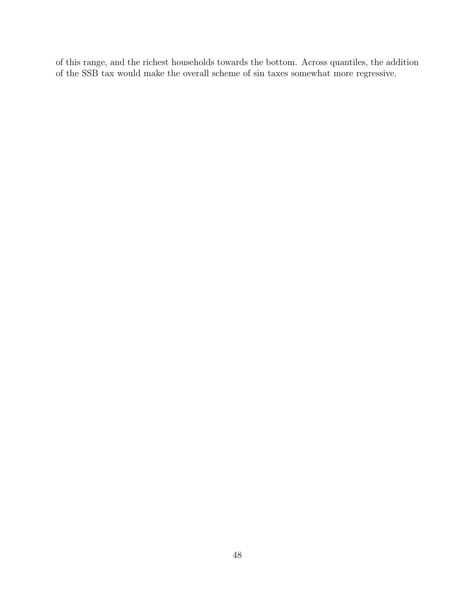of this range, and the richest households towards the bottom. Across quantiles, the addition of the SSB tax would make the overall scheme of sin taxes somewhat more regressive.